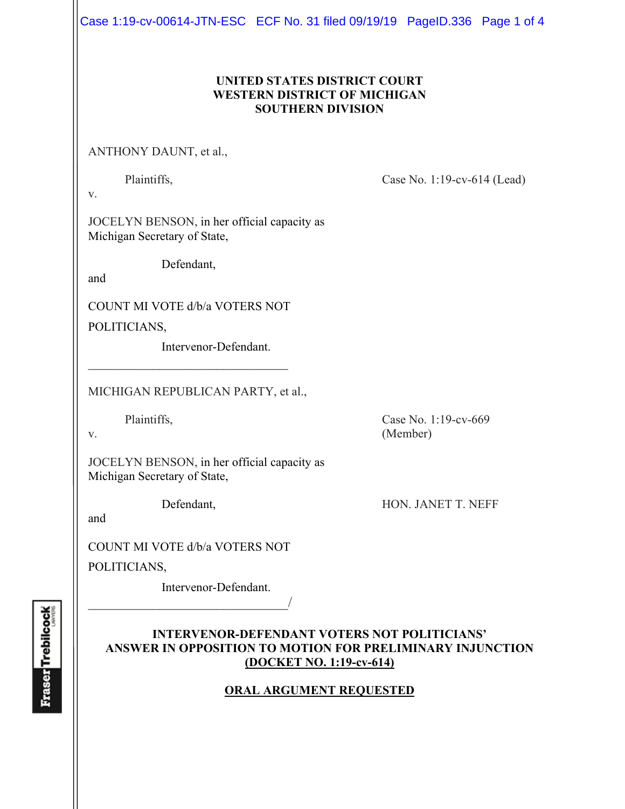Case 1:19-cv-00614-JTN-ESC ECF No. 31 filed 09/19/19 PageID.336 Page 1 of 4

# **UNITED STATES DISTRICT COURT WESTERN DISTRICT OF MICHIGAN SOUTHERN DIVISION**

ANTHONY DAUNT, et al.,

Plaintiffs, Case No. 1:19-cv-614 (Lead)

v.

JOCELYN BENSON, in her official capacity as Michigan Secretary of State,

Defendant,

and

COUNT MI VOTE d/b/a VOTERS NOT

 $\mathcal{L}_\text{max}$  , where  $\mathcal{L}_\text{max}$  and  $\mathcal{L}_\text{max}$ 

POLITICIANS,

Intervenor-Defendant.

MICHIGAN REPUBLICAN PARTY, et al.,

Plaintiffs, Case No. 1:19-cv-669 v. (Member)

JOCELYN BENSON, in her official capacity as Michigan Secretary of State,

Defendant, HON. JANET T. NEFF

and

COUNT MI VOTE d/b/a VOTERS NOT

POLITICIANS,

 Intervenor-Defendant.  $\overline{\phantom{a}}$ 

# **INTERVENOR-DEFENDANT VOTERS NOT POLITICIANS' ANSWER IN OPPOSITION TO MOTION FOR PRELIMINARY INJUNCTION (DOCKET NO. 1:19-cv-614)**

# **ORAL ARGUMENT REQUESTED**

**Fraser** Trebilcock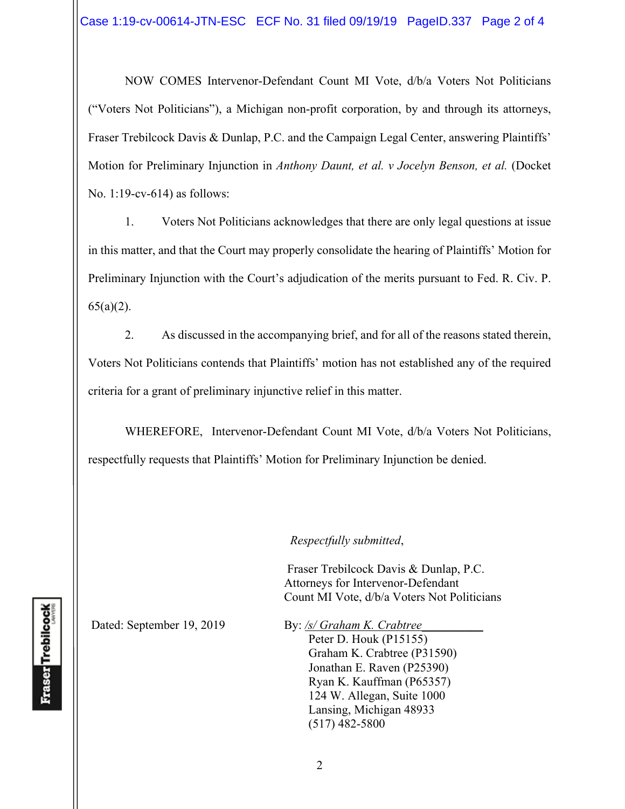NOW COMES Intervenor-Defendant Count MI Vote, d/b/a Voters Not Politicians ("Voters Not Politicians"), a Michigan non-profit corporation, by and through its attorneys, Fraser Trebilcock Davis & Dunlap, P.C. and the Campaign Legal Center, answering Plaintiffs' Motion for Preliminary Injunction in *Anthony Daunt, et al. v Jocelyn Benson, et al.* (Docket No. 1:19-cv-614) as follows:

1. Voters Not Politicians acknowledges that there are only legal questions at issue in this matter, and that the Court may properly consolidate the hearing of Plaintiffs' Motion for Preliminary Injunction with the Court's adjudication of the merits pursuant to Fed. R. Civ. P.  $65(a)(2)$ .

2. As discussed in the accompanying brief, and for all of the reasons stated therein, Voters Not Politicians contends that Plaintiffs' motion has not established any of the required criteria for a grant of preliminary injunctive relief in this matter.

WHEREFORE, Intervenor-Defendant Count MI Vote, d/b/a Voters Not Politicians, respectfully requests that Plaintiffs' Motion for Preliminary Injunction be denied.

*Respectfully submitted*,

 Fraser Trebilcock Davis & Dunlap, P.C. Attorneys for Intervenor-Defendant Count MI Vote, d/b/a Voters Not Politicians

Dated: September 19, 2019 By: /s/ Graham K. Crabtree

Peter D. Houk (P15155) Graham K. Crabtree (P31590) Jonathan E. Raven (P25390) Ryan K. Kauffman (P65357) 124 W. Allegan, Suite 1000 Lansing, Michigan 48933 (517) 482-5800

**Fraser** Trebilcock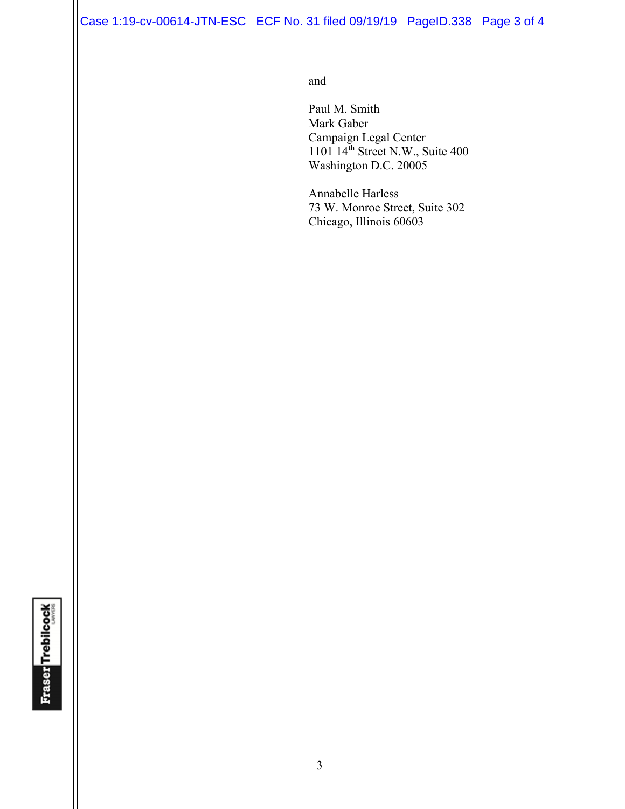Case 1:19-cv-00614-JTN-ESC ECF No. 31 filed 09/19/19 PageID.338 Page 3 of 4

and and state of the state of the state of the state of the state of the state of the state of the state of the state of the state of the state of the state of the state of the state of the state of the state of the state

 Paul M. Smith Mark Gaber Campaign Legal Center  $1101 \, 14<sup>th</sup>$  Street N.W., Suite 400 Washington D.C. 20005

> Annabelle Harless 73 W. Monroe Street, Suite 302 Chicago, Illinois 60603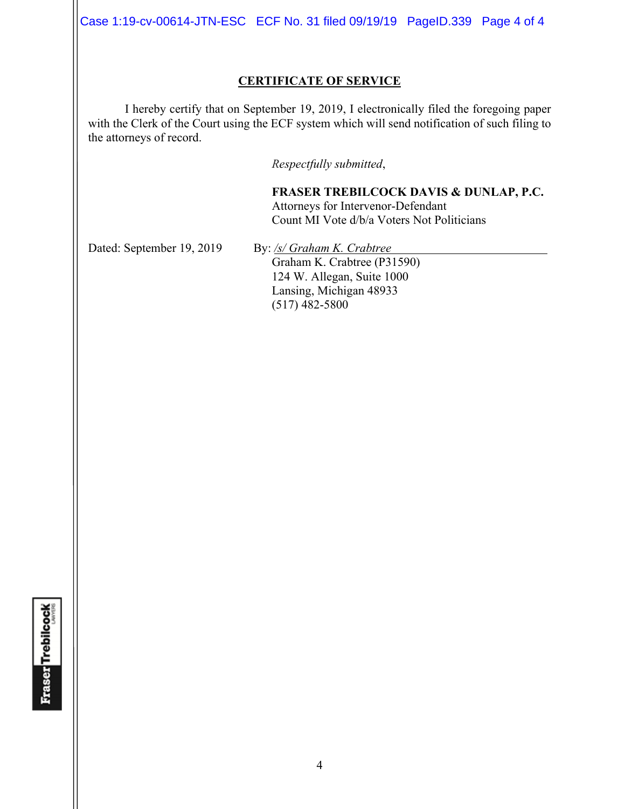Case 1:19-cv-00614-JTN-ESC ECF No. 31 filed 09/19/19 PageID.339 Page 4 of 4

### **CERTIFICATE OF SERVICE**

I hereby certify that on September 19, 2019, I electronically filed the foregoing paper with the Clerk of the Court using the ECF system which will send notification of such filing to the attorneys of record.

*Respectfully submitted*,

**FRASER TREBILCOCK DAVIS & DUNLAP, P.C.** Attorneys for Intervenor-Defendant Count MI Vote d/b/a Voters Not Politicians

Dated: September 19, 2019 By: /s/ Graham K. Crabtree

Graham K. Crabtree (P31590) 124 W. Allegan, Suite 1000 Lansing, Michigan 48933 (517) 482-5800

**Fraser Trebilcock**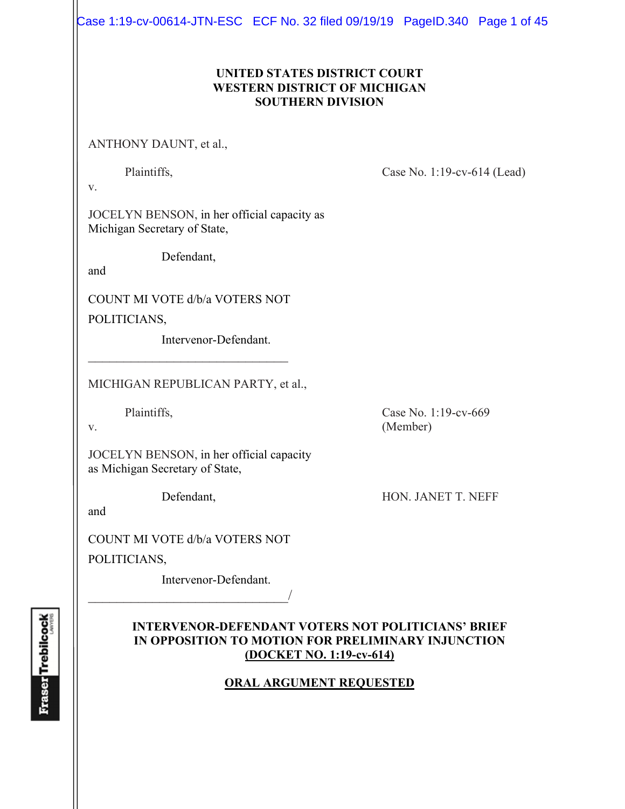Case 1:19-cv-00614-JTN-ESC ECF No. 32 filed 09/19/19 PageID.340 Page 1 of 45

# **UNITED STATES DISTRICT COURT WESTERN DISTRICT OF MICHIGAN SOUTHERN DIVISION**

ANTHONY DAUNT, et al.,

Plaintiffs, Case No. 1:19-cv-614 (Lead)

v.

JOCELYN BENSON, in her official capacity as Michigan Secretary of State,

Defendant,

and

COUNT MI VOTE d/b/a VOTERS NOT

 $\mathcal{L}_\text{max}$  , where  $\mathcal{L}_\text{max}$  , we have the set of  $\mathcal{L}_\text{max}$ 

POLITICIANS,

Intervenor-Defendant.

MICHIGAN REPUBLICAN PARTY, et al.,

JOCELYN BENSON, in her official capacity as Michigan Secretary of State,

and

COUNT MI VOTE d/b/a VOTERS NOT

 $\overline{\phantom{a}}$ 

POLITICIANS,

Intervenor-Defendant.

# **INTERVENOR-DEFENDANT VOTERS NOT POLITICIANS' BRIEF IN OPPOSITION TO MOTION FOR PRELIMINARY INJUNCTION (DOCKET NO. 1:19-cv-614)**

# **ORAL ARGUMENT REQUESTED**

**Fraser Trebilcock** 

Plaintiffs, Case No. 1:19-cv-669 v. (Member)

Defendant, HON. JANET T. NEFF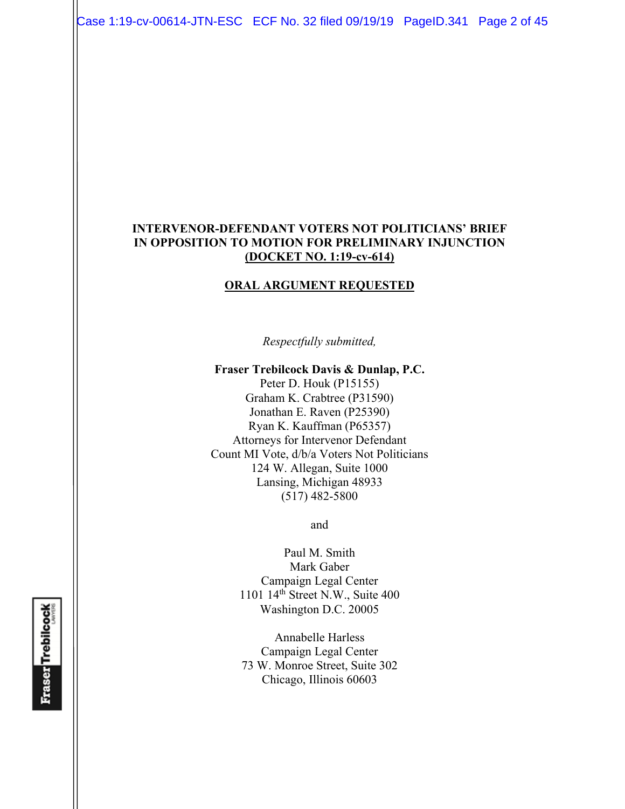Case 1:19-cv-00614-JTN-ESC ECF No. 32 filed 09/19/19 PageID.341 Page 2 of 45

### **INTERVENOR-DEFENDANT VOTERS NOT POLITICIANS' BRIEF IN OPPOSITION TO MOTION FOR PRELIMINARY INJUNCTION (DOCKET NO. 1:19-cv-614)**

#### **ORAL ARGUMENT REQUESTED**

*Respectfully submitted,* 

**Fraser Trebilcock Davis & Dunlap, P.C.**  Peter D. Houk (P15155) Graham K. Crabtree (P31590) Jonathan E. Raven (P25390) Ryan K. Kauffman (P65357) Attorneys for Intervenor Defendant Count MI Vote, d/b/a Voters Not Politicians 124 W. Allegan, Suite 1000 Lansing, Michigan 48933 (517) 482-5800

and

Paul M. Smith Mark Gaber Campaign Legal Center 1101 14th Street N.W., Suite 400 Washington D.C. 20005

Annabelle Harless Campaign Legal Center 73 W. Monroe Street, Suite 302 Chicago, Illinois 60603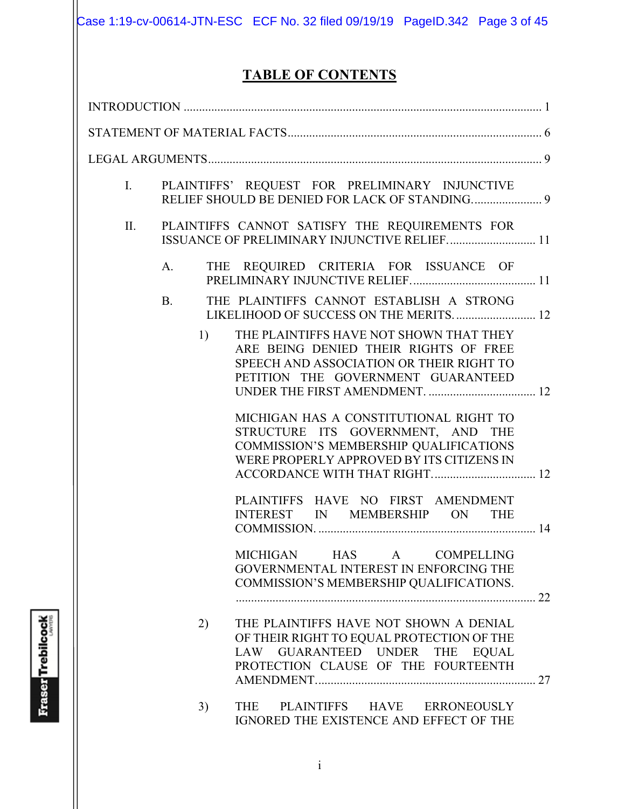Case 1:19-cv-00614-JTN-ESC ECF No. 32 filed 09/19/19 PageID.342 Page 3 of 45

# **TABLE OF CONTENTS**

| I.  |           | PLAINTIFFS' REQUEST FOR PRELIMINARY INJUNCTIVE                                                                                                                         |
|-----|-----------|------------------------------------------------------------------------------------------------------------------------------------------------------------------------|
| II. |           | PLAINTIFFS CANNOT SATISFY THE REQUIREMENTS FOR<br>ISSUANCE OF PRELIMINARY INJUNCTIVE RELIEF 11                                                                         |
|     | A.        | THE REQUIRED CRITERIA FOR ISSUANCE OF                                                                                                                                  |
|     | <b>B.</b> | THE PLAINTIFFS CANNOT ESTABLISH A STRONG<br>LIKELIHOOD OF SUCCESS ON THE MERITS 12                                                                                     |
|     | 1)        | THE PLAINTIFFS HAVE NOT SHOWN THAT THEY<br>ARE BEING DENIED THEIR RIGHTS OF FREE<br>SPEECH AND ASSOCIATION OR THEIR RIGHT TO<br>PETITION THE GOVERNMENT GUARANTEED     |
|     |           | MICHIGAN HAS A CONSTITUTIONAL RIGHT TO<br>STRUCTURE ITS GOVERNMENT, AND THE<br>COMMISSION'S MEMBERSHIP QUALIFICATIONS<br>WERE PROPERLY APPROVED BY ITS CITIZENS IN     |
|     |           | PLAINTIFFS HAVE NO FIRST AMENDMENT<br>INTEREST IN MEMBERSHIP ON THE                                                                                                    |
|     |           | MICHIGAN HAS A COMPELLING<br>GOVERNMENTAL INTEREST IN ENFORCING THE<br>COMMISSION'S MEMBERSHIP QUALIFICATIONS.                                                         |
|     | 2)        | THE PLAINTIFFS HAVE NOT SHOWN A DENIAL<br>OF THEIR RIGHT TO EQUAL PROTECTION OF THE<br>LAW GUARANTEED UNDER THE<br><b>EQUAL</b><br>PROTECTION CLAUSE OF THE FOURTEENTH |
|     | 3)        | THE<br>PLAINTIFFS HAVE ERRONEOUSLY<br>IGNORED THE EXISTENCE AND EFFECT OF THE                                                                                          |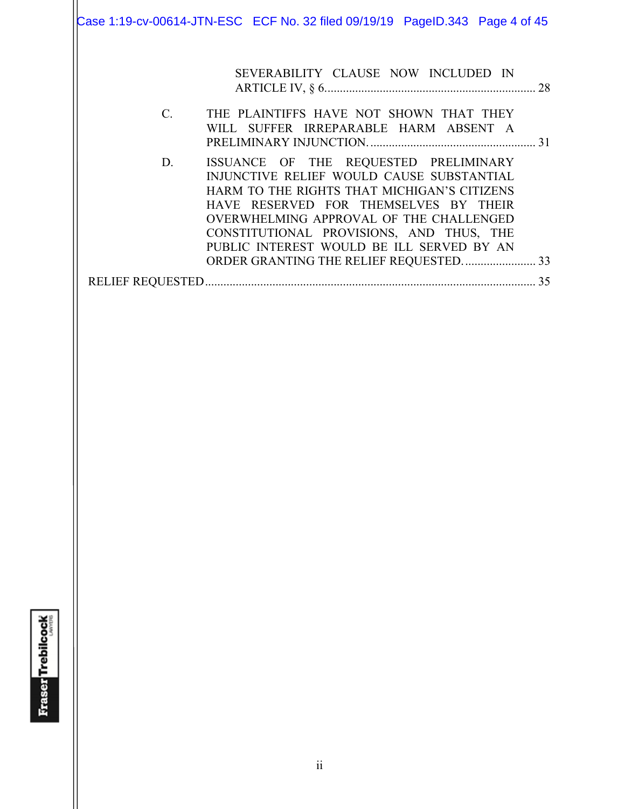Case 1:19-cv-00614-JTN-ESC ECF No. 32 filed 09/19/19 PageID.343 Page 4 of 45

|                 | SEVERABILITY CLAUSE NOW INCLUDED IN                                                                                                                                                                                                                                                                            |    |
|-----------------|----------------------------------------------------------------------------------------------------------------------------------------------------------------------------------------------------------------------------------------------------------------------------------------------------------------|----|
| $\mathcal{C}$ . | THE PLAINTIFFS HAVE NOT SHOWN THAT THEY<br>WILL SUFFER IRREPARABLE HARM ABSENT A                                                                                                                                                                                                                               |    |
| D.              | ISSUANCE OF THE REQUESTED PRELIMINARY<br>INJUNCTIVE RELIEF WOULD CAUSE SUBSTANTIAL<br>HARM TO THE RIGHTS THAT MICHIGAN'S CITIZENS<br>HAVE RESERVED FOR THEMSELVES BY THEIR<br>OVERWHELMING APPROVAL OF THE CHALLENGED<br>CONSTITUTIONAL PROVISIONS, AND THUS, THE<br>PUBLIC INTEREST WOULD BE ILL SERVED BY AN |    |
|                 |                                                                                                                                                                                                                                                                                                                | 35 |
|                 |                                                                                                                                                                                                                                                                                                                |    |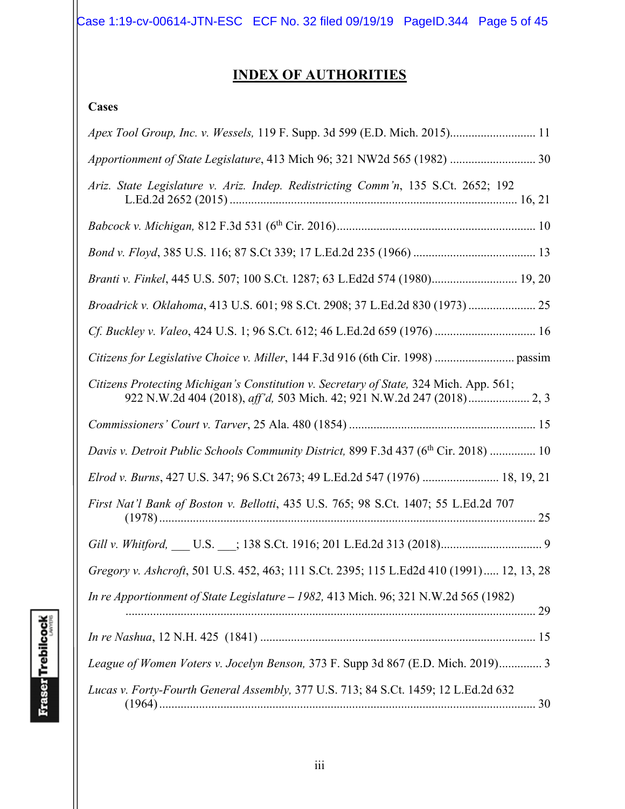Case 1:19-cv-00614-JTN-ESC ECF No. 32 filed 09/19/19 PageID.344 Page 5 of 45

# **INDEX OF AUTHORITIES**

# **Cases**

| Apex Tool Group, Inc. v. Wessels, 119 F. Supp. 3d 599 (E.D. Mich. 2015) 11               |
|------------------------------------------------------------------------------------------|
| Apportionment of State Legislature, 413 Mich 96; 321 NW2d 565 (1982)  30                 |
| Ariz. State Legislature v. Ariz. Indep. Redistricting Comm'n, 135 S.Ct. 2652; 192        |
|                                                                                          |
|                                                                                          |
| Branti v. Finkel, 445 U.S. 507; 100 S.Ct. 1287; 63 L.Ed2d 574 (1980) 19, 20              |
| Broadrick v. Oklahoma, 413 U.S. 601; 98 S.Ct. 2908; 37 L.Ed.2d 830 (1973)  25            |
|                                                                                          |
|                                                                                          |
| Citizens Protecting Michigan's Constitution v. Secretary of State, 324 Mich. App. 561;   |
|                                                                                          |
| Davis v. Detroit Public Schools Community District, 899 F.3d 437 (6th Cir. 2018)  10     |
| Elrod v. Burns, 427 U.S. 347; 96 S.Ct 2673; 49 L.Ed.2d 547 (1976)  18, 19, 21            |
| First Nat'l Bank of Boston v. Bellotti, 435 U.S. 765; 98 S.Ct. 1407; 55 L.Ed.2d 707      |
|                                                                                          |
| Gregory v. Ashcroft, 501 U.S. 452, 463; 111 S.Ct. 2395; 115 L.Ed2d 410 (1991) 12, 13, 28 |
| In re Apportionment of State Legislature - 1982, 413 Mich. 96; 321 N.W.2d 565 (1982)     |
|                                                                                          |
| League of Women Voters v. Jocelyn Benson, 373 F. Supp 3d 867 (E.D. Mich. 2019) 3         |
| Lucas v. Forty-Fourth General Assembly, 377 U.S. 713; 84 S.Ct. 1459; 12 L.Ed.2d 632      |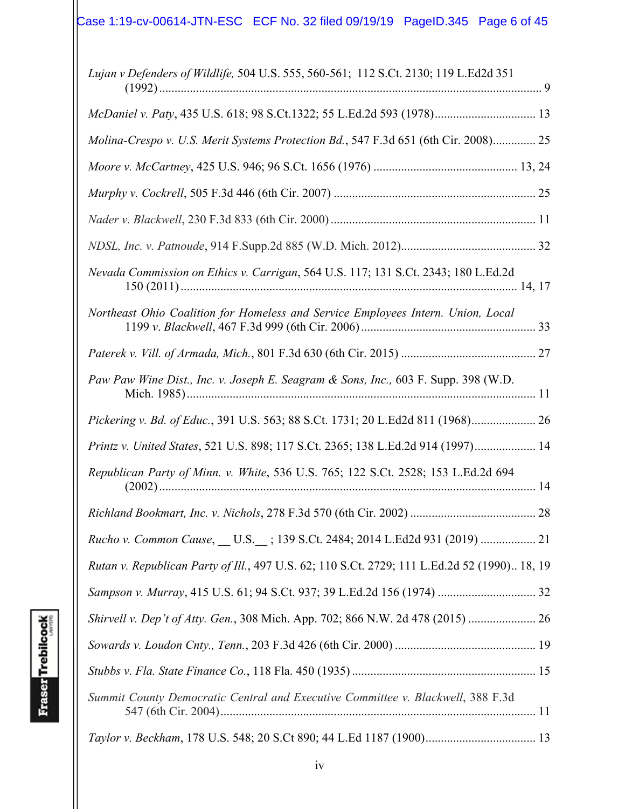| Lujan v Defenders of Wildlife, 504 U.S. 555, 560-561; 112 S.Ct. 2130; 119 L.Ed2d 351         |
|----------------------------------------------------------------------------------------------|
| McDaniel v. Paty, 435 U.S. 618; 98 S.Ct.1322; 55 L.Ed.2d 593 (1978) 13                       |
| Molina-Crespo v. U.S. Merit Systems Protection Bd., 547 F.3d 651 (6th Cir. 2008) 25          |
|                                                                                              |
|                                                                                              |
|                                                                                              |
|                                                                                              |
| Nevada Commission on Ethics v. Carrigan, 564 U.S. 117; 131 S.Ct. 2343; 180 L.Ed.2d           |
| Northeast Ohio Coalition for Homeless and Service Employees Intern. Union, Local             |
|                                                                                              |
| Paw Paw Wine Dist., Inc. v. Joseph E. Seagram & Sons, Inc., 603 F. Supp. 398 (W.D.           |
| Pickering v. Bd. of Educ., 391 U.S. 563; 88 S.Ct. 1731; 20 L.Ed2d 811 (1968) 26              |
| Printz v. United States, 521 U.S. 898; 117 S.Ct. 2365; 138 L.Ed.2d 914 (1997) 14             |
| Republican Party of Minn. v. White, 536 U.S. 765; 122 S.Ct. 2528; 153 L.Ed.2d 694            |
|                                                                                              |
| Rucho v. Common Cause, __ U.S.__; 139 S.Ct. 2484; 2014 L.Ed2d 931 (2019)  21                 |
| Rutan v. Republican Party of Ill., 497 U.S. 62; 110 S.Ct. 2729; 111 L.Ed.2d 52 (1990) 18, 19 |
|                                                                                              |
| Shirvell v. Dep't of Atty. Gen., 308 Mich. App. 702; 866 N.W. 2d 478 (2015)                  |
|                                                                                              |
|                                                                                              |
| Summit County Democratic Central and Executive Committee v. Blackwell, 388 F.3d              |
|                                                                                              |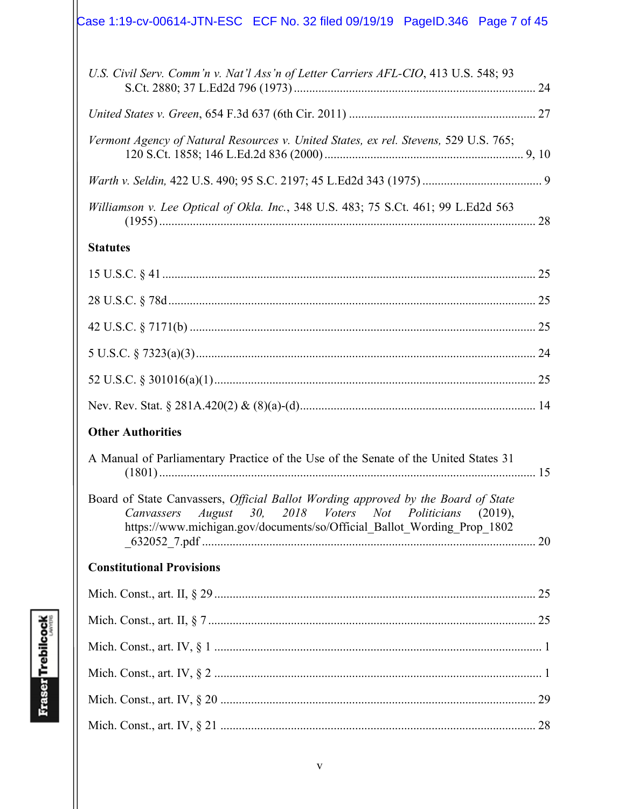| Case 1:19-cv-00614-JTN-ESC ECF No. 32 filed 09/19/19  PageID.346  Page 7 of 45 |  |  |
|--------------------------------------------------------------------------------|--|--|
|                                                                                |  |  |

| U.S. Civil Serv. Comm'n v. Nat'l Ass'n of Letter Carriers AFL-CIO, 413 U.S. 548; 93  |  |
|--------------------------------------------------------------------------------------|--|
|                                                                                      |  |
| Vermont Agency of Natural Resources v. United States, ex rel. Stevens, 529 U.S. 765; |  |
|                                                                                      |  |
| Williamson v. Lee Optical of Okla. Inc., 348 U.S. 483; 75 S.Ct. 461; 99 L.Ed2d 563   |  |
| <b>Statutes</b>                                                                      |  |
|                                                                                      |  |

# **Other Authorities**

| A Manual of Parliamentary Practice of the Use of the Senate of the United States 31 |  |
|-------------------------------------------------------------------------------------|--|
|                                                                                     |  |

|  |  |  |  | Board of State Canvassers, <i>Official Ballot Wording approved by the Board of State</i> |  |
|--|--|--|--|------------------------------------------------------------------------------------------|--|
|  |  |  |  | Canvassers August 30, 2018 Voters Not Politicians (2019),                                |  |
|  |  |  |  | https://www.michigan.gov/documents/so/Official Ballot Wording Prop 1802                  |  |
|  |  |  |  |                                                                                          |  |

# **Constitutional Provisions**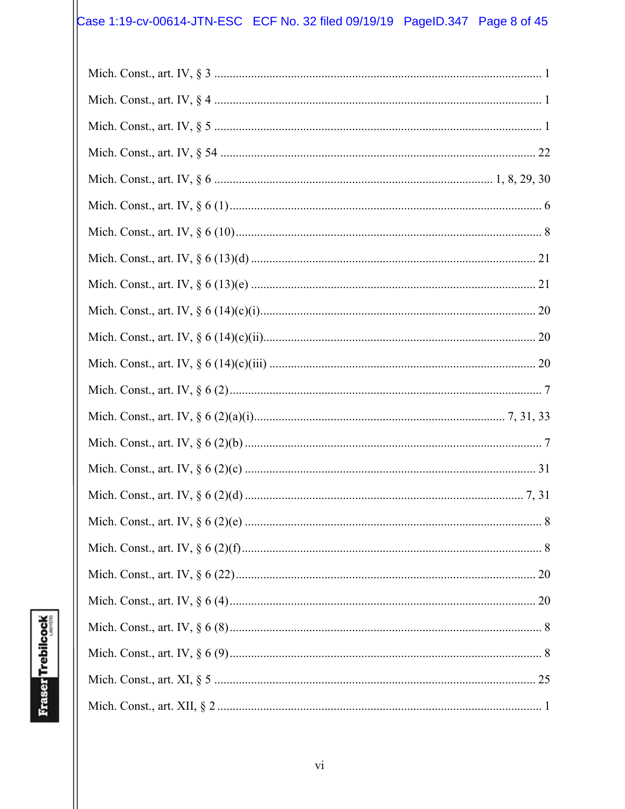# Case 1:19-cv-00614-JTN-ESC ECF No. 32 filed 09/19/19 PageID.347 Page 8 of 45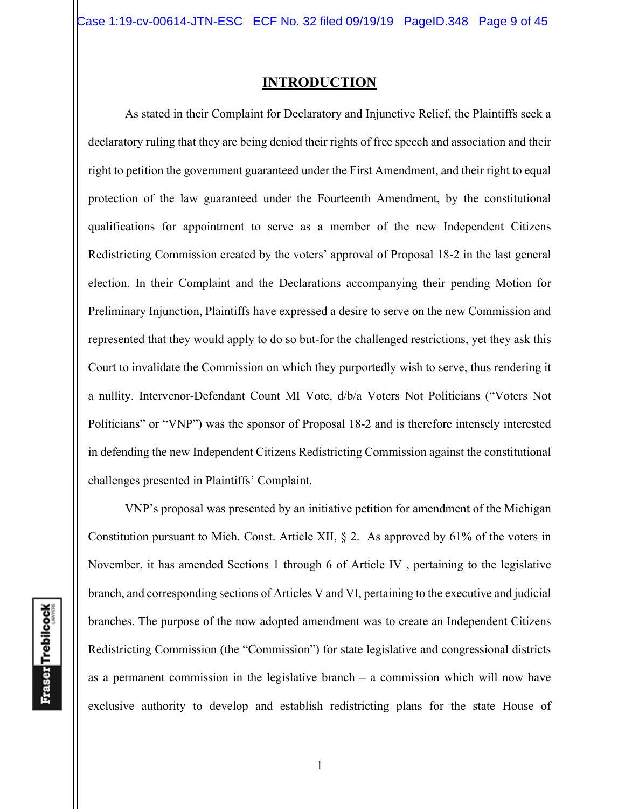### **INTRODUCTION**

As stated in their Complaint for Declaratory and Injunctive Relief, the Plaintiffs seek a declaratory ruling that they are being denied their rights of free speech and association and their right to petition the government guaranteed under the First Amendment, and their right to equal protection of the law guaranteed under the Fourteenth Amendment, by the constitutional qualifications for appointment to serve as a member of the new Independent Citizens Redistricting Commission created by the voters' approval of Proposal 18-2 in the last general election. In their Complaint and the Declarations accompanying their pending Motion for Preliminary Injunction, Plaintiffs have expressed a desire to serve on the new Commission and represented that they would apply to do so but-for the challenged restrictions, yet they ask this Court to invalidate the Commission on which they purportedly wish to serve, thus rendering it a nullity. Intervenor-Defendant Count MI Vote, d/b/a Voters Not Politicians ("Voters Not Politicians" or "VNP") was the sponsor of Proposal 18-2 and is therefore intensely interested in defending the new Independent Citizens Redistricting Commission against the constitutional challenges presented in Plaintiffs' Complaint.

VNP's proposal was presented by an initiative petition for amendment of the Michigan Constitution pursuant to Mich. Const. Article XII, § 2. As approved by 61% of the voters in November, it has amended Sections 1 through 6 of Article IV , pertaining to the legislative branch, and corresponding sections of Articles V and VI, pertaining to the executive and judicial branches. The purpose of the now adopted amendment was to create an Independent Citizens Redistricting Commission (the "Commission") for state legislative and congressional districts as a permanent commission in the legislative branch **–** a commission which will now have exclusive authority to develop and establish redistricting plans for the state House of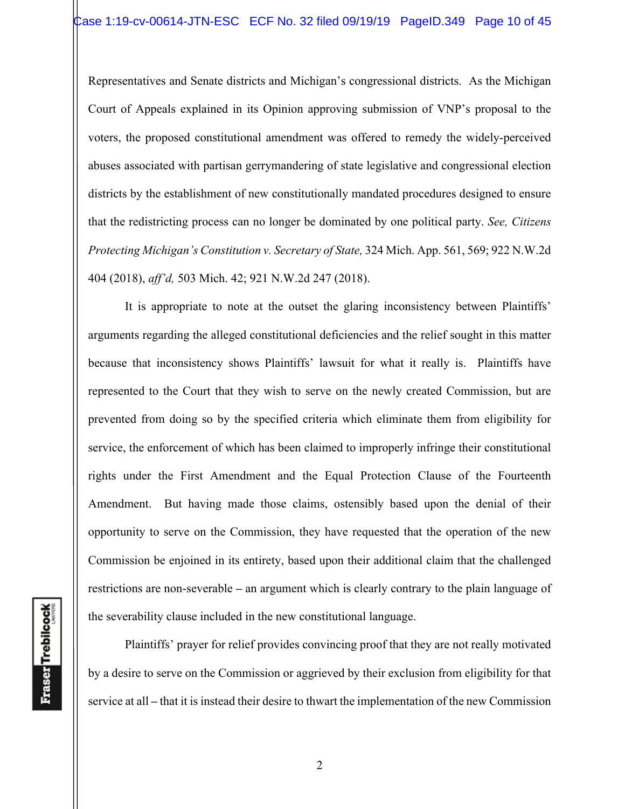Representatives and Senate districts and Michigan's congressional districts. As the Michigan Court of Appeals explained in its Opinion approving submission of VNP's proposal to the voters, the proposed constitutional amendment was offered to remedy the widely-perceived abuses associated with partisan gerrymandering of state legislative and congressional election districts by the establishment of new constitutionally mandated procedures designed to ensure that the redistricting process can no longer be dominated by one political party. *See, Citizens Protecting Michigan's Constitution v. Secretary of State,* 324 Mich. App. 561, 569; 922 N.W.2d 404 (2018), *aff'd,* 503 Mich. 42; 921 N.W.2d 247 (2018).

It is appropriate to note at the outset the glaring inconsistency between Plaintiffs' arguments regarding the alleged constitutional deficiencies and the relief sought in this matter because that inconsistency shows Plaintiffs' lawsuit for what it really is. Plaintiffs have represented to the Court that they wish to serve on the newly created Commission, but are prevented from doing so by the specified criteria which eliminate them from eligibility for service, the enforcement of which has been claimed to improperly infringe their constitutional rights under the First Amendment and the Equal Protection Clause of the Fourteenth Amendment. But having made those claims, ostensibly based upon the denial of their opportunity to serve on the Commission, they have requested that the operation of the new Commission be enjoined in its entirety, based upon their additional claim that the challenged restrictions are non-severable **–** an argument which is clearly contrary to the plain language of the severability clause included in the new constitutional language.

Plaintiffs' prayer for relief provides convincing proof that they are not really motivated by a desire to serve on the Commission or aggrieved by their exclusion from eligibility for that service at all **–** that it is instead their desire to thwart the implementation of the new Commission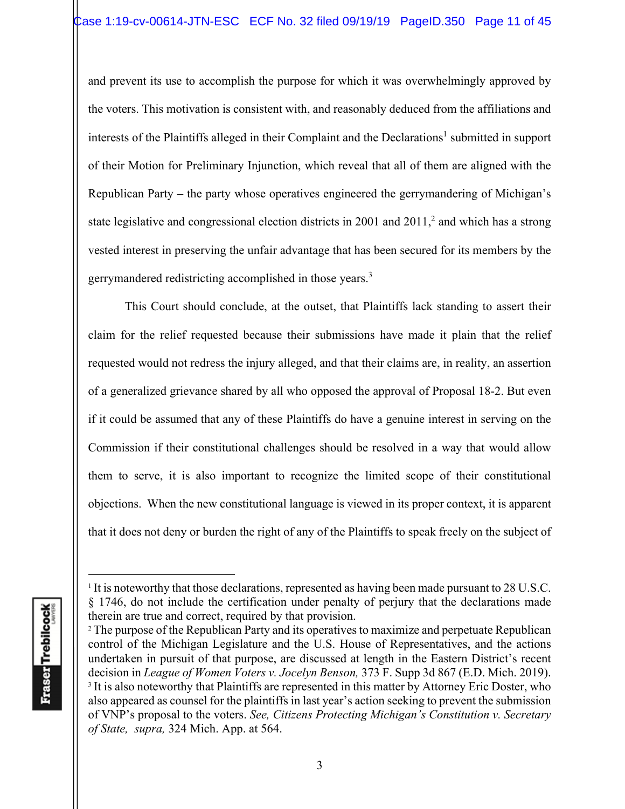and prevent its use to accomplish the purpose for which it was overwhelmingly approved by the voters. This motivation is consistent with, and reasonably deduced from the affiliations and interests of the Plaintiffs alleged in their Complaint and the Declarations<sup>1</sup> submitted in support of their Motion for Preliminary Injunction, which reveal that all of them are aligned with the Republican Party **–** the party whose operatives engineered the gerrymandering of Michigan's state legislative and congressional election districts in 2001 and  $2011$ ,<sup>2</sup> and which has a strong vested interest in preserving the unfair advantage that has been secured for its members by the gerrymandered redistricting accomplished in those years.3

This Court should conclude, at the outset, that Plaintiffs lack standing to assert their claim for the relief requested because their submissions have made it plain that the relief requested would not redress the injury alleged, and that their claims are, in reality, an assertion of a generalized grievance shared by all who opposed the approval of Proposal 18-2. But even if it could be assumed that any of these Plaintiffs do have a genuine interest in serving on the Commission if their constitutional challenges should be resolved in a way that would allow them to serve, it is also important to recognize the limited scope of their constitutional objections. When the new constitutional language is viewed in its proper context, it is apparent that it does not deny or burden the right of any of the Plaintiffs to speak freely on the subject of

<sup>&</sup>lt;sup>1</sup> It is noteworthy that those declarations, represented as having been made pursuant to 28 U.S.C. § 1746, do not include the certification under penalty of perjury that the declarations made therein are true and correct, required by that provision.<br><sup>2</sup> The purpose of the Republican Party and its operatives to maximize and perpetuate Republican

control of the Michigan Legislature and the U.S. House of Representatives, and the actions undertaken in pursuit of that purpose, are discussed at length in the Eastern District's recent decision in *League of Women Voters v. Jocelyn Benson,* 373 F. Supp 3d 867 (E.D. Mich. 2019). <sup>3</sup> It is also noteworthy that Plaintiffs are represented in this matter by Attorney Eric Doster, who also appeared as counsel for the plaintiffs in last year's action seeking to prevent the submission of VNP's proposal to the voters. *See, Citizens Protecting Michigan's Constitution v. Secretary of State, supra,* 324 Mich. App. at 564.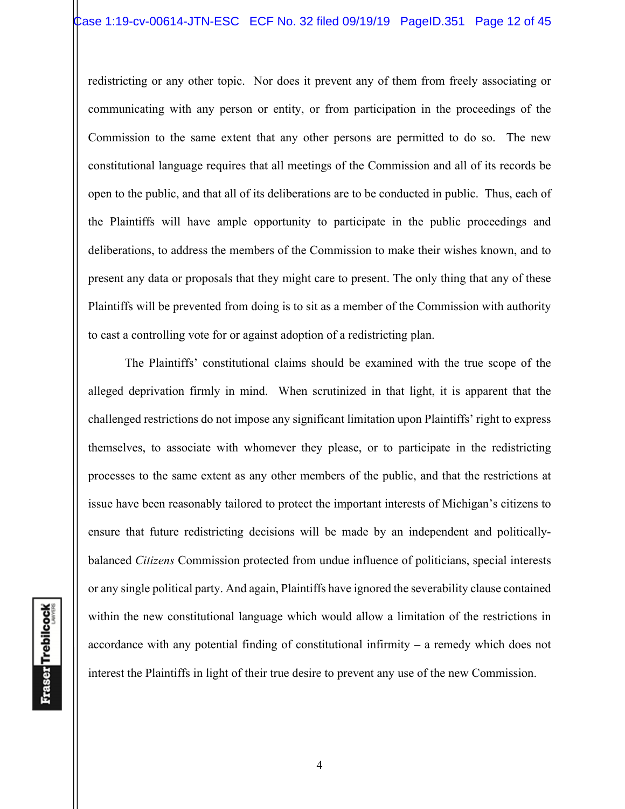redistricting or any other topic. Nor does it prevent any of them from freely associating or communicating with any person or entity, or from participation in the proceedings of the Commission to the same extent that any other persons are permitted to do so. The new constitutional language requires that all meetings of the Commission and all of its records be open to the public, and that all of its deliberations are to be conducted in public. Thus, each of the Plaintiffs will have ample opportunity to participate in the public proceedings and deliberations, to address the members of the Commission to make their wishes known, and to present any data or proposals that they might care to present. The only thing that any of these Plaintiffs will be prevented from doing is to sit as a member of the Commission with authority to cast a controlling vote for or against adoption of a redistricting plan.

The Plaintiffs' constitutional claims should be examined with the true scope of the alleged deprivation firmly in mind. When scrutinized in that light, it is apparent that the challenged restrictions do not impose any significant limitation upon Plaintiffs' right to express themselves, to associate with whomever they please, or to participate in the redistricting processes to the same extent as any other members of the public, and that the restrictions at issue have been reasonably tailored to protect the important interests of Michigan's citizens to ensure that future redistricting decisions will be made by an independent and politicallybalanced *Citizens* Commission protected from undue influence of politicians, special interests or any single political party. And again, Plaintiffs have ignored the severability clause contained within the new constitutional language which would allow a limitation of the restrictions in accordance with any potential finding of constitutional infirmity **–** a remedy which does not interest the Plaintiffs in light of their true desire to prevent any use of the new Commission.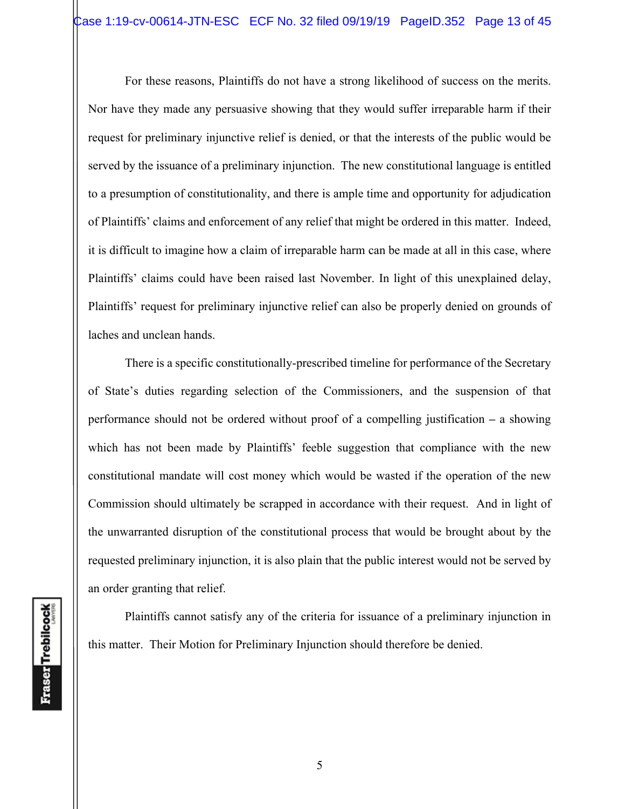For these reasons, Plaintiffs do not have a strong likelihood of success on the merits. Nor have they made any persuasive showing that they would suffer irreparable harm if their request for preliminary injunctive relief is denied, or that the interests of the public would be served by the issuance of a preliminary injunction. The new constitutional language is entitled to a presumption of constitutionality, and there is ample time and opportunity for adjudication of Plaintiffs' claims and enforcement of any relief that might be ordered in this matter. Indeed, it is difficult to imagine how a claim of irreparable harm can be made at all in this case, where Plaintiffs' claims could have been raised last November. In light of this unexplained delay, Plaintiffs' request for preliminary injunctive relief can also be properly denied on grounds of laches and unclean hands.

There is a specific constitutionally-prescribed timeline for performance of the Secretary of State's duties regarding selection of the Commissioners, and the suspension of that performance should not be ordered without proof of a compelling justification **–** a showing which has not been made by Plaintiffs' feeble suggestion that compliance with the new constitutional mandate will cost money which would be wasted if the operation of the new Commission should ultimately be scrapped in accordance with their request. And in light of the unwarranted disruption of the constitutional process that would be brought about by the requested preliminary injunction, it is also plain that the public interest would not be served by an order granting that relief.

Plaintiffs cannot satisfy any of the criteria for issuance of a preliminary injunction in this matter. Their Motion for Preliminary Injunction should therefore be denied.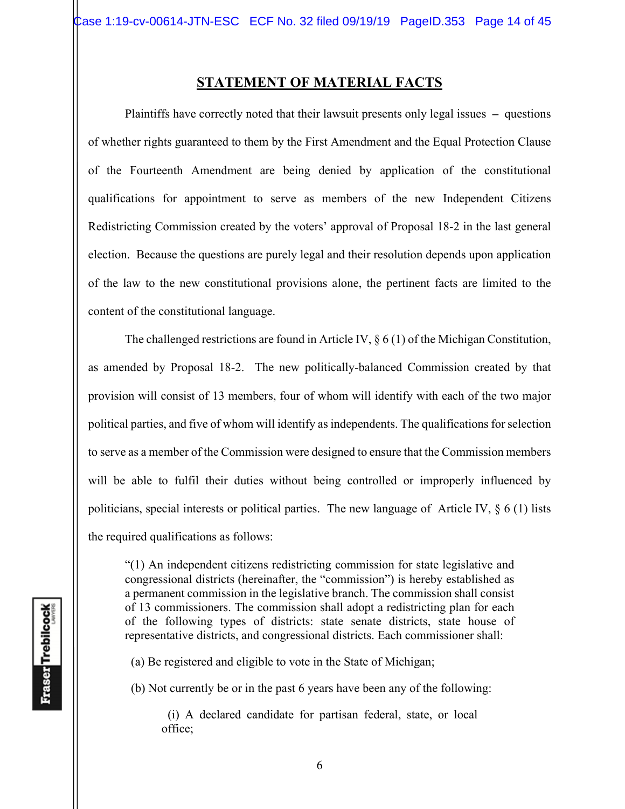# **STATEMENT OF MATERIAL FACTS**

 Plaintiffs have correctly noted that their lawsuit presents only legal issues **–** questions of whether rights guaranteed to them by the First Amendment and the Equal Protection Clause of the Fourteenth Amendment are being denied by application of the constitutional qualifications for appointment to serve as members of the new Independent Citizens Redistricting Commission created by the voters' approval of Proposal 18-2 in the last general election. Because the questions are purely legal and their resolution depends upon application of the law to the new constitutional provisions alone, the pertinent facts are limited to the content of the constitutional language.

The challenged restrictions are found in Article IV,  $\S 6 (1)$  of the Michigan Constitution, as amended by Proposal 18-2. The new politically-balanced Commission created by that provision will consist of 13 members, four of whom will identify with each of the two major political parties, and five of whom will identify as independents. The qualifications for selection to serve as a member of the Commission were designed to ensure that the Commission members will be able to fulfil their duties without being controlled or improperly influenced by politicians, special interests or political parties. The new language of Article IV, § 6 (1) lists the required qualifications as follows:

"(1) An independent citizens redistricting commission for state legislative and congressional districts (hereinafter, the "commission") is hereby established as a permanent commission in the legislative branch. The commission shall consist of 13 commissioners. The commission shall adopt a redistricting plan for each of the following types of districts: state senate districts, state house of representative districts, and congressional districts. Each commissioner shall:

(a) Be registered and eligible to vote in the State of Michigan;

(b) Not currently be or in the past 6 years have been any of the following:

 (i) A declared candidate for partisan federal, state, or local office;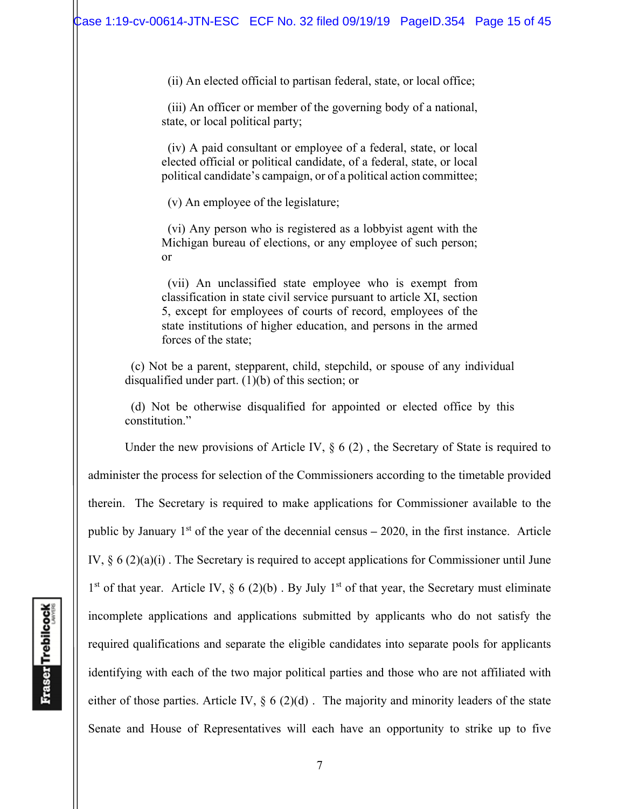(ii) An elected official to partisan federal, state, or local office;

 (iii) An officer or member of the governing body of a national, state, or local political party;

 (iv) A paid consultant or employee of a federal, state, or local elected official or political candidate, of a federal, state, or local political candidate's campaign, or of a political action committee;

(v) An employee of the legislature;

 (vi) Any person who is registered as a lobbyist agent with the Michigan bureau of elections, or any employee of such person; or

 (vii) An unclassified state employee who is exempt from classification in state civil service pursuant to article XI, section 5, except for employees of courts of record, employees of the state institutions of higher education, and persons in the armed forces of the state;

 (c) Not be a parent, stepparent, child, stepchild, or spouse of any individual disqualified under part. (1)(b) of this section; or

 (d) Not be otherwise disqualified for appointed or elected office by this constitution."

Under the new provisions of Article IV,  $\S 6(2)$ , the Secretary of State is required to administer the process for selection of the Commissioners according to the timetable provided therein. The Secretary is required to make applications for Commissioner available to the public by January 1st of the year of the decennial census **–** 2020, in the first instance. Article IV, § 6 (2)(a)(i) . The Secretary is required to accept applications for Commissioner until June  $1<sup>st</sup>$  of that year. Article IV, § 6 (2)(b). By July  $1<sup>st</sup>$  of that year, the Secretary must eliminate incomplete applications and applications submitted by applicants who do not satisfy the required qualifications and separate the eligible candidates into separate pools for applicants identifying with each of the two major political parties and those who are not affiliated with either of those parties. Article IV, § 6 (2)(d) . The majority and minority leaders of the state Senate and House of Representatives will each have an opportunity to strike up to five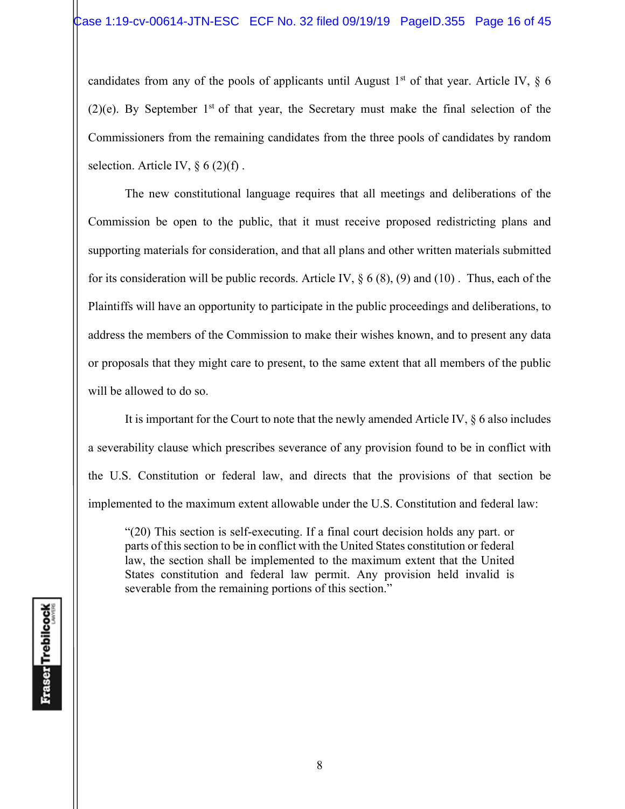candidates from any of the pools of applicants until August 1<sup>st</sup> of that year. Article IV,  $\S$  6 (2)(e). By September  $1<sup>st</sup>$  of that year, the Secretary must make the final selection of the Commissioners from the remaining candidates from the three pools of candidates by random selection. Article IV,  $\S 6(2)(f)$ .

 The new constitutional language requires that all meetings and deliberations of the Commission be open to the public, that it must receive proposed redistricting plans and supporting materials for consideration, and that all plans and other written materials submitted for its consideration will be public records. Article IV,  $\S 6 (8)$ , (9) and (10). Thus, each of the Plaintiffs will have an opportunity to participate in the public proceedings and deliberations, to address the members of the Commission to make their wishes known, and to present any data or proposals that they might care to present, to the same extent that all members of the public will be allowed to do so.

 It is important for the Court to note that the newly amended Article IV, § 6 also includes a severability clause which prescribes severance of any provision found to be in conflict with the U.S. Constitution or federal law, and directs that the provisions of that section be implemented to the maximum extent allowable under the U.S. Constitution and federal law:

"(20) This section is self-executing. If a final court decision holds any part. or parts of this section to be in conflict with the United States constitution or federal law, the section shall be implemented to the maximum extent that the United States constitution and federal law permit. Any provision held invalid is severable from the remaining portions of this section."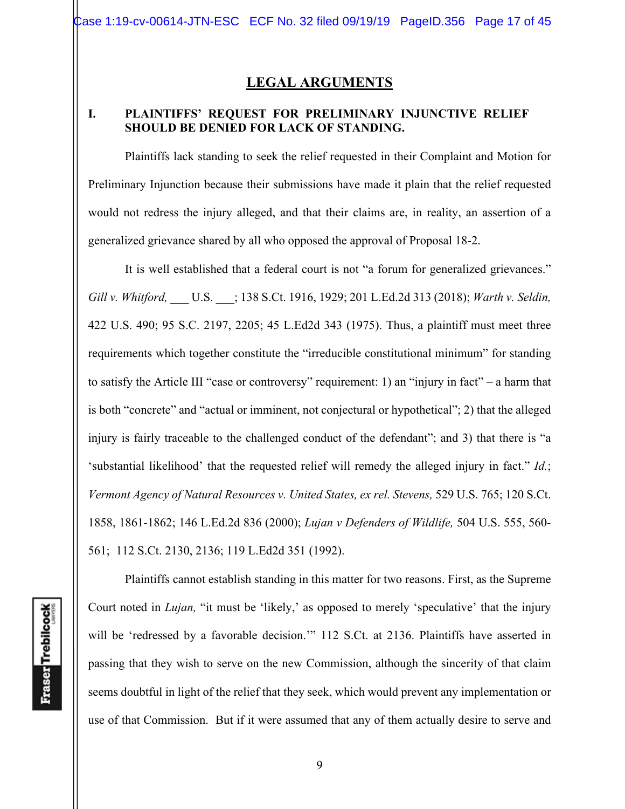# **LEGAL ARGUMENTS**

## **I. PLAINTIFFS' REQUEST FOR PRELIMINARY INJUNCTIVE RELIEF SHOULD BE DENIED FOR LACK OF STANDING.**

Plaintiffs lack standing to seek the relief requested in their Complaint and Motion for Preliminary Injunction because their submissions have made it plain that the relief requested would not redress the injury alleged, and that their claims are, in reality, an assertion of a generalized grievance shared by all who opposed the approval of Proposal 18-2.

It is well established that a federal court is not "a forum for generalized grievances." *Gill v. Whitford,* \_\_\_ U.S. \_\_\_; 138 S.Ct. 1916, 1929; 201 L.Ed.2d 313 (2018); *Warth v. Seldin,*  422 U.S. 490; 95 S.C. 2197, 2205; 45 L.Ed2d 343 (1975). Thus, a plaintiff must meet three requirements which together constitute the "irreducible constitutional minimum" for standing to satisfy the Article III "case or controversy" requirement: 1) an "injury in fact" – a harm that is both "concrete" and "actual or imminent, not conjectural or hypothetical"; 2) that the alleged injury is fairly traceable to the challenged conduct of the defendant"; and 3) that there is "a 'substantial likelihood' that the requested relief will remedy the alleged injury in fact." *Id.*; *Vermont Agency of Natural Resources v. United States, ex rel. Stevens,* 529 U.S. 765; 120 S.Ct. 1858, 1861-1862; 146 L.Ed.2d 836 (2000); *Lujan v Defenders of Wildlife,* 504 U.S. 555, 560- 561;112 S.Ct. 2130, 2136; 119 L.Ed2d 351 (1992).

**Fraser** Trebilcock

Plaintiffs cannot establish standing in this matter for two reasons. First, as the Supreme Court noted in *Lujan,* "it must be 'likely,' as opposed to merely 'speculative' that the injury will be 'redressed by a favorable decision.'" 112 S.Ct. at 2136. Plaintiffs have asserted in passing that they wish to serve on the new Commission, although the sincerity of that claim seems doubtful in light of the relief that they seek, which would prevent any implementation or use of that Commission. But if it were assumed that any of them actually desire to serve and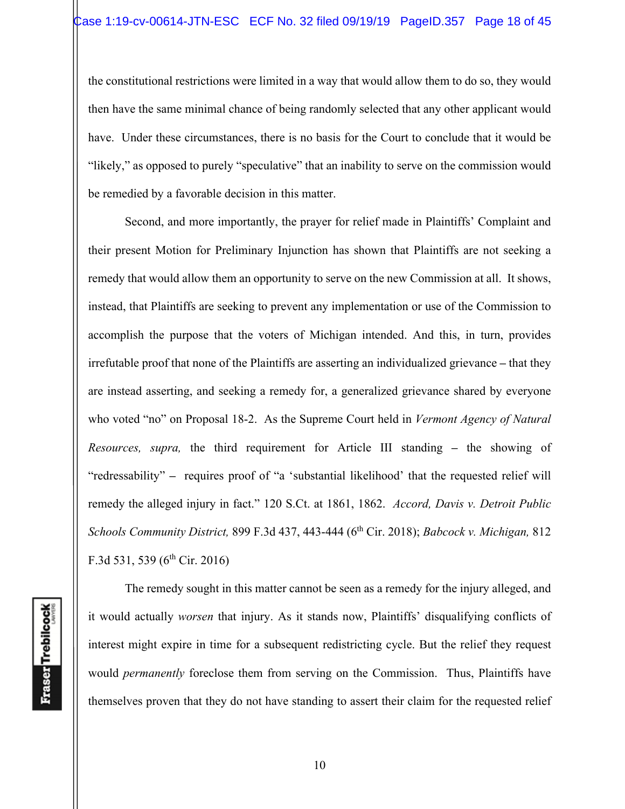the constitutional restrictions were limited in a way that would allow them to do so, they would then have the same minimal chance of being randomly selected that any other applicant would have. Under these circumstances, there is no basis for the Court to conclude that it would be "likely," as opposed to purely "speculative" that an inability to serve on the commission would be remedied by a favorable decision in this matter.

Second, and more importantly, the prayer for relief made in Plaintiffs' Complaint and their present Motion for Preliminary Injunction has shown that Plaintiffs are not seeking a remedy that would allow them an opportunity to serve on the new Commission at all. It shows, instead, that Plaintiffs are seeking to prevent any implementation or use of the Commission to accomplish the purpose that the voters of Michigan intended. And this, in turn, provides irrefutable proof that none of the Plaintiffs are asserting an individualized grievance **–** that they are instead asserting, and seeking a remedy for, a generalized grievance shared by everyone who voted "no" on Proposal 18-2. As the Supreme Court held in *Vermont Agency of Natural Resources, supra,* the third requirement for Article III standing **–** the showing of "redressability" **–** requires proof of "a 'substantial likelihood' that the requested relief will remedy the alleged injury in fact." 120 S.Ct. at 1861, 1862. *Accord, Davis v. Detroit Public Schools Community District,* 899 F.3d 437, 443-444 (6th Cir. 2018); *Babcock v. Michigan,* 812 F.3d 531, 539 ( $6^{th}$  Cir. 2016)

**Fraser** Trebilcock

The remedy sought in this matter cannot be seen as a remedy for the injury alleged, and it would actually *worsen* that injury. As it stands now, Plaintiffs' disqualifying conflicts of interest might expire in time for a subsequent redistricting cycle. But the relief they request would *permanently* foreclose them from serving on the Commission. Thus, Plaintiffs have themselves proven that they do not have standing to assert their claim for the requested relief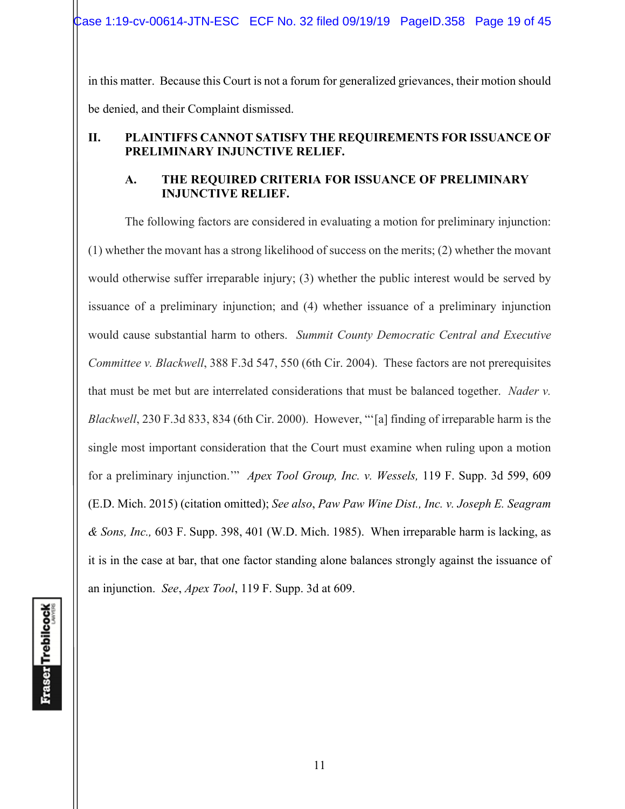Case 1:19-cv-00614-JTN-ESC ECF No. 32 filed 09/19/19 PageID.358 Page 19 of 45

in this matter. Because this Court is not a forum for generalized grievances, their motion should be denied, and their Complaint dismissed.

# **II. PLAINTIFFS CANNOT SATISFY THE REQUIREMENTS FOR ISSUANCE OF PRELIMINARY INJUNCTIVE RELIEF.**

# **A. THE REQUIRED CRITERIA FOR ISSUANCE OF PRELIMINARY INJUNCTIVE RELIEF.**

The following factors are considered in evaluating a motion for preliminary injunction: (1) whether the movant has a strong likelihood of success on the merits; (2) whether the movant would otherwise suffer irreparable injury; (3) whether the public interest would be served by issuance of a preliminary injunction; and (4) whether issuance of a preliminary injunction would cause substantial harm to others. *Summit County Democratic Central and Executive Committee v. Blackwell*, 388 F.3d 547, 550 (6th Cir. 2004). These factors are not prerequisites that must be met but are interrelated considerations that must be balanced together. *Nader v. Blackwell*, 230 F.3d 833, 834 (6th Cir. 2000). However, "'[a] finding of irreparable harm is the single most important consideration that the Court must examine when ruling upon a motion for a preliminary injunction.'" *Apex Tool Group, Inc. v. Wessels,* 119 F. Supp. 3d 599, 609 (E.D. Mich. 2015) (citation omitted); *See also*, *Paw Paw Wine Dist., Inc. v. Joseph E. Seagram & Sons, Inc.,* 603 F. Supp. 398, 401 (W.D. Mich. 1985). When irreparable harm is lacking, as it is in the case at bar, that one factor standing alone balances strongly against the issuance of an injunction. *See*, *Apex Tool*, 119 F. Supp. 3d at 609.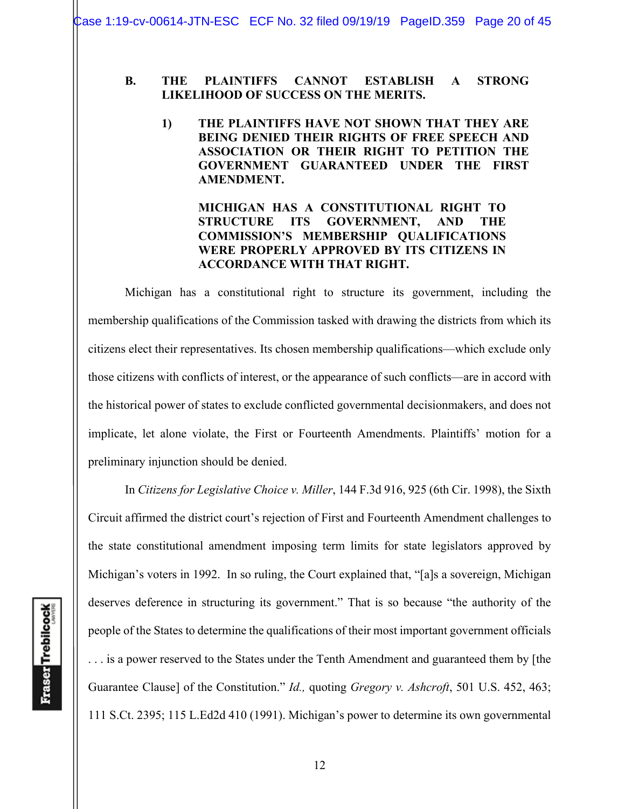Case 1:19-cv-00614-JTN-ESC ECF No. 32 filed 09/19/19 PageID.359 Page 20 of 45

#### **B. THE PLAINTIFFS CANNOT ESTABLISH A STRONG LIKELIHOOD OF SUCCESS ON THE MERITS.**

**1) THE PLAINTIFFS HAVE NOT SHOWN THAT THEY ARE BEING DENIED THEIR RIGHTS OF FREE SPEECH AND ASSOCIATION OR THEIR RIGHT TO PETITION THE GOVERNMENT GUARANTEED UNDER THE FIRST AMENDMENT.** 

## **MICHIGAN HAS A CONSTITUTIONAL RIGHT TO STRUCTURE ITS GOVERNMENT, AND THE COMMISSION'S MEMBERSHIP QUALIFICATIONS WERE PROPERLY APPROVED BY ITS CITIZENS IN ACCORDANCE WITH THAT RIGHT.**

Michigan has a constitutional right to structure its government, including the membership qualifications of the Commission tasked with drawing the districts from which its citizens elect their representatives. Its chosen membership qualifications—which exclude only those citizens with conflicts of interest, or the appearance of such conflicts—are in accord with the historical power of states to exclude conflicted governmental decisionmakers, and does not implicate, let alone violate, the First or Fourteenth Amendments. Plaintiffs' motion for a preliminary injunction should be denied.

In *Citizens for Legislative Choice v. Miller*, 144 F.3d 916, 925 (6th Cir. 1998), the Sixth Circuit affirmed the district court's rejection of First and Fourteenth Amendment challenges to the state constitutional amendment imposing term limits for state legislators approved by Michigan's voters in 1992. In so ruling, the Court explained that, "[a]s a sovereign, Michigan deserves deference in structuring its government." That is so because "the authority of the people of the States to determine the qualifications of their most important government officials . . . is a power reserved to the States under the Tenth Amendment and guaranteed them by [the Guarantee Clause] of the Constitution." *Id.,* quoting *Gregory v. Ashcroft*, 501 U.S. 452, 463; 111 S.Ct. 2395; 115 L.Ed2d 410 (1991). Michigan's power to determine its own governmental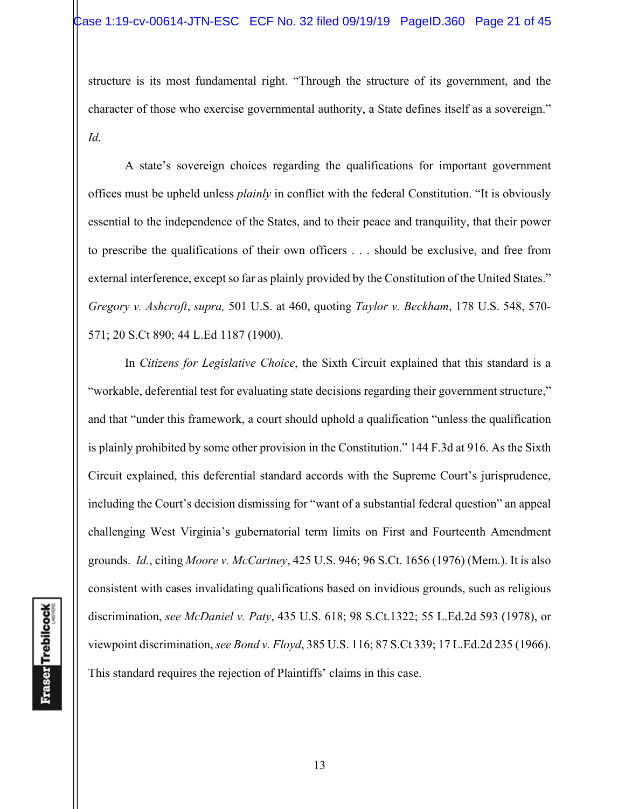structure is its most fundamental right. "Through the structure of its government, and the character of those who exercise governmental authority, a State defines itself as a sovereign." *Id.*

A state's sovereign choices regarding the qualifications for important government offices must be upheld unless *plainly* in conflict with the federal Constitution. "It is obviously essential to the independence of the States, and to their peace and tranquility, that their power to prescribe the qualifications of their own officers . . . should be exclusive, and free from external interference, except so far as plainly provided by the Constitution of the United States." *Gregory v. Ashcroft*, *supra,* 501 U.S. at 460, quoting *Taylor v. Beckham*, 178 U.S. 548, 570- 571; 20 S.Ct 890; 44 L.Ed 1187 (1900).

In *Citizens for Legislative Choice*, the Sixth Circuit explained that this standard is a "workable, deferential test for evaluating state decisions regarding their government structure," and that "under this framework, a court should uphold a qualification "unless the qualification is plainly prohibited by some other provision in the Constitution." 144 F.3d at 916. As the Sixth Circuit explained, this deferential standard accords with the Supreme Court's jurisprudence, including the Court's decision dismissing for "want of a substantial federal question" an appeal challenging West Virginia's gubernatorial term limits on First and Fourteenth Amendment grounds. *Id.*, citing *Moore v. McCartney*, 425 U.S. 946; 96 S.Ct. 1656 (1976) (Mem.). It is also consistent with cases invalidating qualifications based on invidious grounds, such as religious discrimination, *see McDaniel v. Paty*, 435 U.S. 618; 98 S.Ct.1322; 55 L.Ed.2d 593 (1978), or viewpoint discrimination, *see Bond v. Floyd*, 385 U.S. 116; 87 S.Ct 339; 17 L.Ed.2d 235 (1966). This standard requires the rejection of Plaintiffs' claims in this case.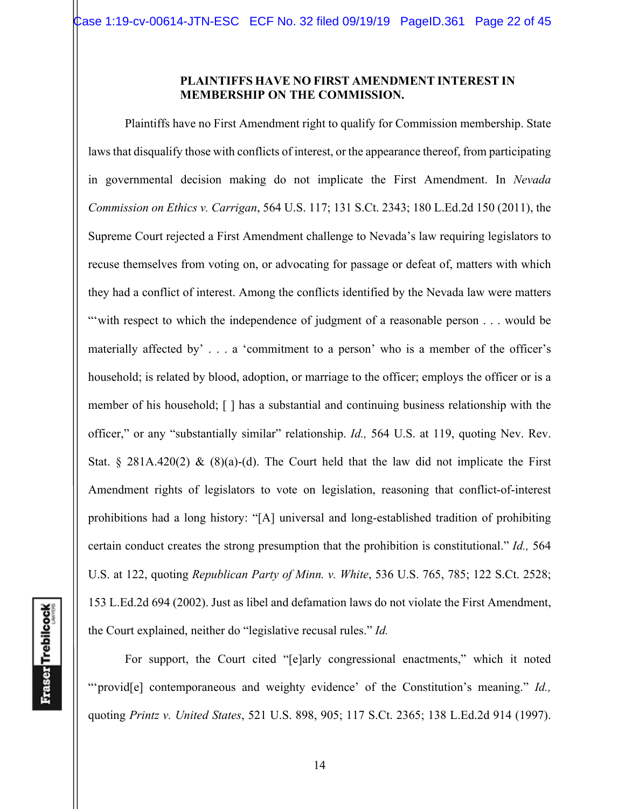#### **PLAINTIFFS HAVE NO FIRST AMENDMENT INTEREST IN MEMBERSHIP ON THE COMMISSION.**

Plaintiffs have no First Amendment right to qualify for Commission membership. State laws that disqualify those with conflicts of interest, or the appearance thereof, from participating in governmental decision making do not implicate the First Amendment. In *Nevada Commission on Ethics v. Carrigan*, 564 U.S. 117; 131 S.Ct. 2343; 180 L.Ed.2d 150 (2011), the Supreme Court rejected a First Amendment challenge to Nevada's law requiring legislators to recuse themselves from voting on, or advocating for passage or defeat of, matters with which they had a conflict of interest. Among the conflicts identified by the Nevada law were matters "with respect to which the independence of judgment of a reasonable person . . . would be materially affected by' . . . a 'commitment to a person' who is a member of the officer's household; is related by blood, adoption, or marriage to the officer; employs the officer or is a member of his household; [ ] has a substantial and continuing business relationship with the officer," or any "substantially similar" relationship. *Id.,* 564 U.S. at 119, quoting Nev. Rev. Stat. § 281A.420(2) & (8)(a)-(d). The Court held that the law did not implicate the First Amendment rights of legislators to vote on legislation, reasoning that conflict-of-interest prohibitions had a long history: "[A] universal and long-established tradition of prohibiting certain conduct creates the strong presumption that the prohibition is constitutional." *Id.,* 564 U.S. at 122, quoting *Republican Party of Minn. v. White*, 536 U.S. 765, 785; 122 S.Ct. 2528; 153 L.Ed.2d 694 (2002). Just as libel and defamation laws do not violate the First Amendment, the Court explained, neither do "legislative recusal rules." *Id.*

 For support, the Court cited "[e]arly congressional enactments," which it noted "'provid[e] contemporaneous and weighty evidence' of the Constitution's meaning." *Id.,*  quoting *Printz v. United States*, 521 U.S. 898, 905; 117 S.Ct. 2365; 138 L.Ed.2d 914 (1997).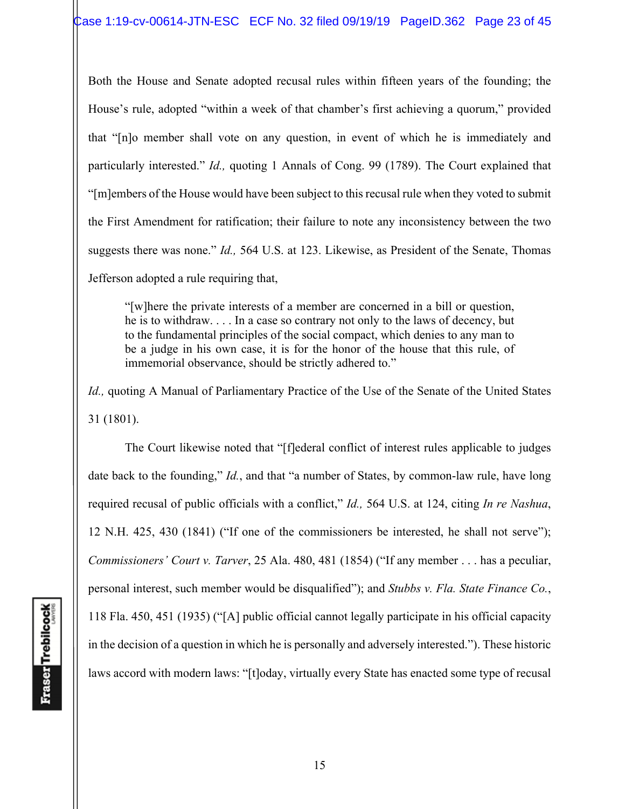Both the House and Senate adopted recusal rules within fifteen years of the founding; the House's rule, adopted "within a week of that chamber's first achieving a quorum," provided that "[n]o member shall vote on any question, in event of which he is immediately and particularly interested." *Id.,* quoting 1 Annals of Cong. 99 (1789). The Court explained that "[m]embers of the House would have been subject to this recusal rule when they voted to submit the First Amendment for ratification; their failure to note any inconsistency between the two suggests there was none." *Id.,* 564 U.S. at 123. Likewise, as President of the Senate, Thomas Jefferson adopted a rule requiring that,

"[w]here the private interests of a member are concerned in a bill or question, he is to withdraw. . . . In a case so contrary not only to the laws of decency, but to the fundamental principles of the social compact, which denies to any man to be a judge in his own case, it is for the honor of the house that this rule, of immemorial observance, should be strictly adhered to."

*Id., quoting A Manual of Parliamentary Practice of the Use of the Senate of the United States* 31 (1801).

 The Court likewise noted that "[f]ederal conflict of interest rules applicable to judges date back to the founding," *Id.*, and that "a number of States, by common-law rule, have long required recusal of public officials with a conflict," *Id.,* 564 U.S. at 124, citing *In re Nashua*, 12 N.H. 425, 430 (1841) ("If one of the commissioners be interested, he shall not serve"); *Commissioners' Court v. Tarver*, 25 Ala. 480, 481 (1854) ("If any member . . . has a peculiar, personal interest, such member would be disqualified"); and *Stubbs v. Fla. State Finance Co.*, 118 Fla. 450, 451 (1935) ("[A] public official cannot legally participate in his official capacity in the decision of a question in which he is personally and adversely interested."). These historic laws accord with modern laws: "[t]oday, virtually every State has enacted some type of recusal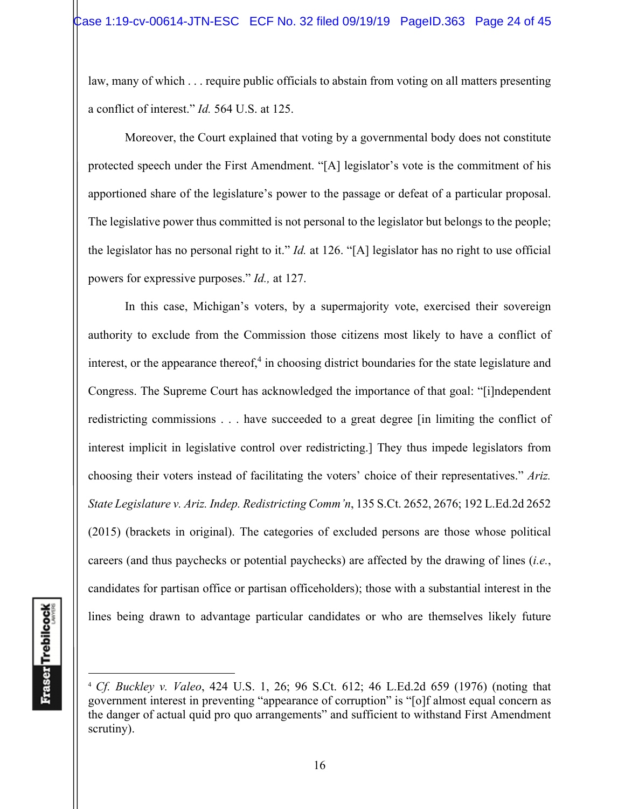law, many of which . . . require public officials to abstain from voting on all matters presenting a conflict of interest." *Id.* 564 U.S. at 125.

 Moreover, the Court explained that voting by a governmental body does not constitute protected speech under the First Amendment. "[A] legislator's vote is the commitment of his apportioned share of the legislature's power to the passage or defeat of a particular proposal. The legislative power thus committed is not personal to the legislator but belongs to the people; the legislator has no personal right to it." *Id.* at 126. "[A] legislator has no right to use official powers for expressive purposes." *Id.,* at 127.

 In this case, Michigan's voters, by a supermajority vote, exercised their sovereign authority to exclude from the Commission those citizens most likely to have a conflict of interest, or the appearance thereof, $4$  in choosing district boundaries for the state legislature and Congress. The Supreme Court has acknowledged the importance of that goal: "[i]ndependent redistricting commissions . . . have succeeded to a great degree [in limiting the conflict of interest implicit in legislative control over redistricting.] They thus impede legislators from choosing their voters instead of facilitating the voters' choice of their representatives." *Ariz. State Legislature v. Ariz. Indep. Redistricting Comm'n*, 135 S.Ct. 2652, 2676; 192 L.Ed.2d 2652 (2015) (brackets in original). The categories of excluded persons are those whose political careers (and thus paychecks or potential paychecks) are affected by the drawing of lines (*i.e.*, candidates for partisan office or partisan officeholders); those with a substantial interest in the lines being drawn to advantage particular candidates or who are themselves likely future

<sup>4</sup> *Cf. Buckley v. Valeo*, 424 U.S. 1, 26; 96 S.Ct. 612; 46 L.Ed.2d 659 (1976) (noting that government interest in preventing "appearance of corruption" is "[o]f almost equal concern as the danger of actual quid pro quo arrangements" and sufficient to withstand First Amendment scrutiny).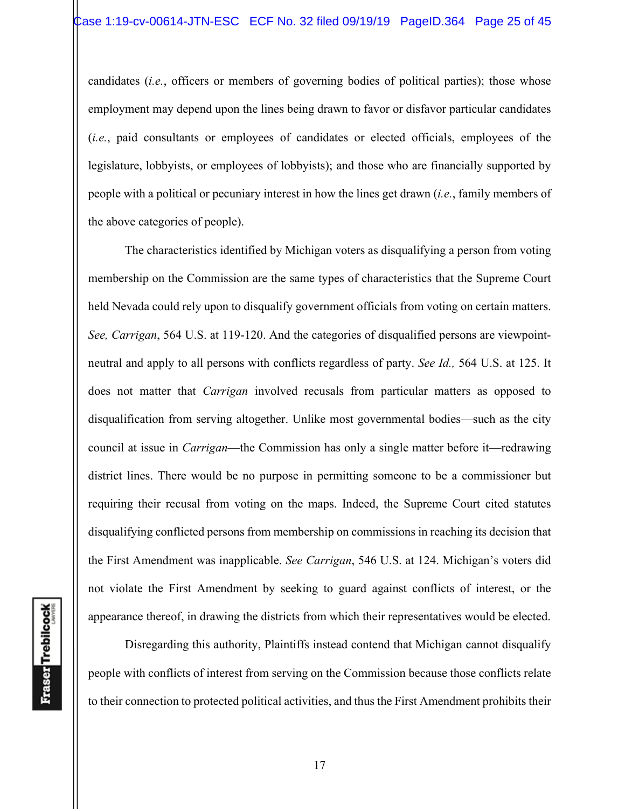candidates (*i.e.*, officers or members of governing bodies of political parties); those whose employment may depend upon the lines being drawn to favor or disfavor particular candidates (*i.e.*, paid consultants or employees of candidates or elected officials, employees of the legislature, lobbyists, or employees of lobbyists); and those who are financially supported by people with a political or pecuniary interest in how the lines get drawn (*i.e.*, family members of the above categories of people).

The characteristics identified by Michigan voters as disqualifying a person from voting membership on the Commission are the same types of characteristics that the Supreme Court held Nevada could rely upon to disqualify government officials from voting on certain matters. *See, Carrigan*, 564 U.S. at 119-120. And the categories of disqualified persons are viewpointneutral and apply to all persons with conflicts regardless of party. *See Id.,* 564 U.S. at 125. It does not matter that *Carrigan* involved recusals from particular matters as opposed to disqualification from serving altogether. Unlike most governmental bodies—such as the city council at issue in *Carrigan*—the Commission has only a single matter before it—redrawing district lines. There would be no purpose in permitting someone to be a commissioner but requiring their recusal from voting on the maps. Indeed, the Supreme Court cited statutes disqualifying conflicted persons from membership on commissions in reaching its decision that the First Amendment was inapplicable. *See Carrigan*, 546 U.S. at 124. Michigan's voters did not violate the First Amendment by seeking to guard against conflicts of interest, or the appearance thereof, in drawing the districts from which their representatives would be elected.

**Fraser** Trebilcock

 Disregarding this authority, Plaintiffs instead contend that Michigan cannot disqualify people with conflicts of interest from serving on the Commission because those conflicts relate to their connection to protected political activities, and thus the First Amendment prohibits their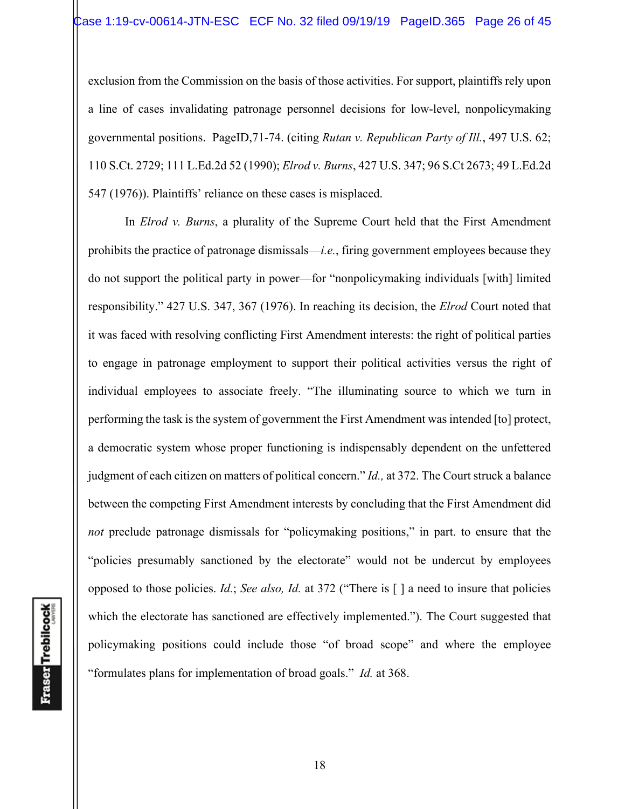exclusion from the Commission on the basis of those activities. For support, plaintiffs rely upon a line of cases invalidating patronage personnel decisions for low-level, nonpolicymaking governmental positions. PageID,71-74. (citing *Rutan v. Republican Party of Ill.*, 497 U.S. 62; 110 S.Ct. 2729; 111 L.Ed.2d 52 (1990); *Elrod v. Burns*, 427 U.S. 347; 96 S.Ct 2673; 49 L.Ed.2d 547 (1976)). Plaintiffs' reliance on these cases is misplaced.

 In *Elrod v. Burns*, a plurality of the Supreme Court held that the First Amendment prohibits the practice of patronage dismissals—*i.e.*, firing government employees because they do not support the political party in power—for "nonpolicymaking individuals [with] limited responsibility." 427 U.S. 347, 367 (1976). In reaching its decision, the *Elrod* Court noted that it was faced with resolving conflicting First Amendment interests: the right of political parties to engage in patronage employment to support their political activities versus the right of individual employees to associate freely. "The illuminating source to which we turn in performing the task is the system of government the First Amendment was intended [to] protect, a democratic system whose proper functioning is indispensably dependent on the unfettered judgment of each citizen on matters of political concern." *Id.,* at 372. The Court struck a balance between the competing First Amendment interests by concluding that the First Amendment did *not* preclude patronage dismissals for "policymaking positions," in part. to ensure that the "policies presumably sanctioned by the electorate" would not be undercut by employees opposed to those policies. *Id.*; *See also, Id.* at 372 ("There is [ ] a need to insure that policies which the electorate has sanctioned are effectively implemented."). The Court suggested that policymaking positions could include those "of broad scope" and where the employee "formulates plans for implementation of broad goals." *Id.* at 368.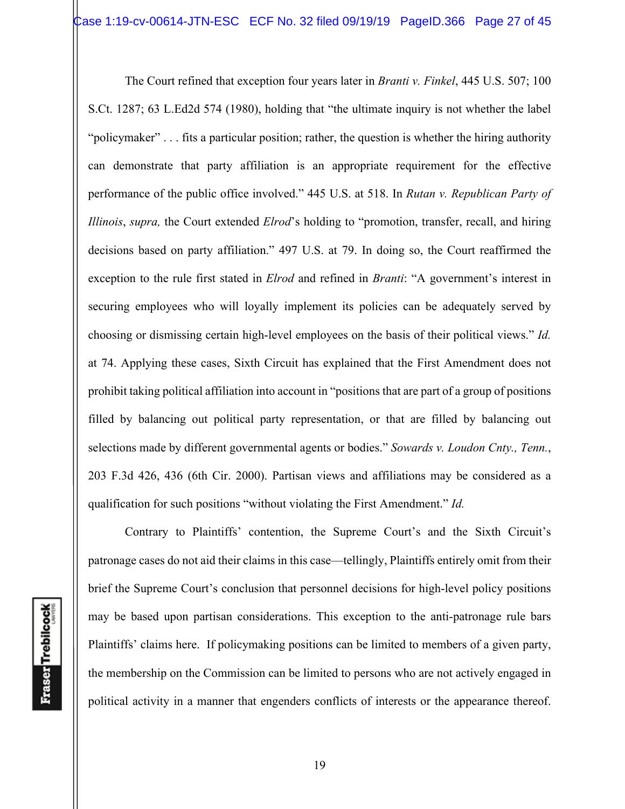The Court refined that exception four years later in *Branti v. Finkel*, 445 U.S. 507; 100 S.Ct. 1287; 63 L.Ed2d 574 (1980), holding that "the ultimate inquiry is not whether the label "policymaker" . . . fits a particular position; rather, the question is whether the hiring authority can demonstrate that party affiliation is an appropriate requirement for the effective performance of the public office involved." 445 U.S. at 518. In *Rutan v. Republican Party of Illinois*, *supra,* the Court extended *Elrod*'s holding to "promotion, transfer, recall, and hiring decisions based on party affiliation." 497 U.S. at 79. In doing so, the Court reaffirmed the exception to the rule first stated in *Elrod* and refined in *Branti*: "A government's interest in securing employees who will loyally implement its policies can be adequately served by choosing or dismissing certain high-level employees on the basis of their political views." *Id.* at 74. Applying these cases, Sixth Circuit has explained that the First Amendment does not prohibit taking political affiliation into account in "positions that are part of a group of positions filled by balancing out political party representation, or that are filled by balancing out selections made by different governmental agents or bodies." *Sowards v. Loudon Cnty., Tenn.*, 203 F.3d 426, 436 (6th Cir. 2000). Partisan views and affiliations may be considered as a qualification for such positions "without violating the First Amendment." *Id.*

Contrary to Plaintiffs' contention, the Supreme Court's and the Sixth Circuit's patronage cases do not aid their claims in this case—tellingly, Plaintiffs entirely omit from their brief the Supreme Court's conclusion that personnel decisions for high-level policy positions may be based upon partisan considerations. This exception to the anti-patronage rule bars Plaintiffs' claims here. If policymaking positions can be limited to members of a given party, the membership on the Commission can be limited to persons who are not actively engaged in political activity in a manner that engenders conflicts of interests or the appearance thereof.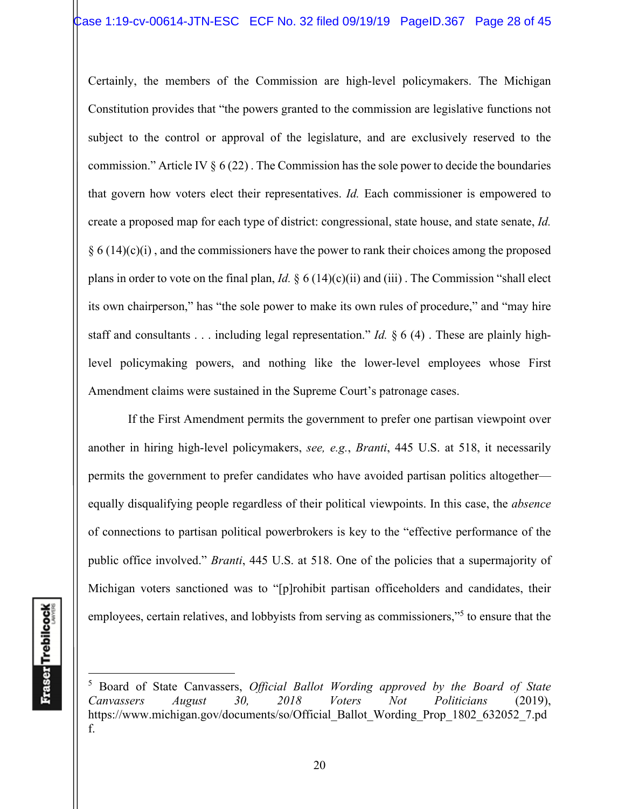Certainly, the members of the Commission are high-level policymakers. The Michigan Constitution provides that "the powers granted to the commission are legislative functions not subject to the control or approval of the legislature, and are exclusively reserved to the commission." Article IV  $\S 6 (22)$ . The Commission has the sole power to decide the boundaries that govern how voters elect their representatives. *Id.* Each commissioner is empowered to create a proposed map for each type of district: congressional, state house, and state senate, *Id.*  $§ 6 (14)(c)(i)$ , and the commissioners have the power to rank their choices among the proposed plans in order to vote on the final plan, *Id.* § 6 (14)(c)(ii) and (iii) . The Commission "shall elect its own chairperson," has "the sole power to make its own rules of procedure," and "may hire staff and consultants . . . including legal representation." *Id.* § 6 (4) . These are plainly highlevel policymaking powers, and nothing like the lower-level employees whose First Amendment claims were sustained in the Supreme Court's patronage cases.

 If the First Amendment permits the government to prefer one partisan viewpoint over another in hiring high-level policymakers, *see, e.g.*, *Branti*, 445 U.S. at 518, it necessarily permits the government to prefer candidates who have avoided partisan politics altogether equally disqualifying people regardless of their political viewpoints. In this case, the *absence*  of connections to partisan political powerbrokers is key to the "effective performance of the public office involved." *Branti*, 445 U.S. at 518. One of the policies that a supermajority of Michigan voters sanctioned was to "[p]rohibit partisan officeholders and candidates, their employees, certain relatives, and lobbyists from serving as commissioners,"<sup>5</sup> to ensure that the

<sup>5</sup> Board of State Canvassers, *Official Ballot Wording approved by the Board of State Canvassers August 30, 2018 Voters Not Politicians* (2019), https://www.michigan.gov/documents/so/Official\_Ballot\_Wording\_Prop\_1802\_632052\_7.pd f.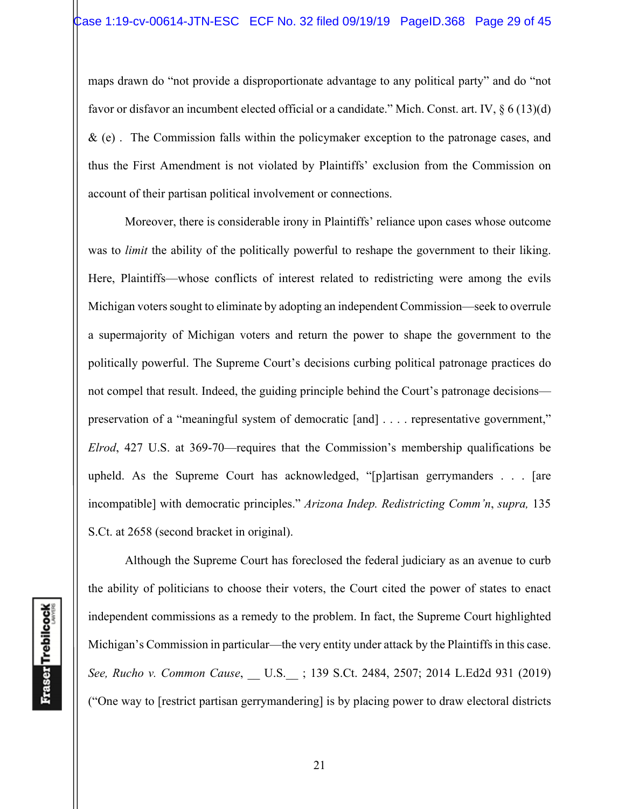maps drawn do "not provide a disproportionate advantage to any political party" and do "not favor or disfavor an incumbent elected official or a candidate." Mich. Const. art. IV, § 6 (13)(d) & (e) . The Commission falls within the policymaker exception to the patronage cases, and thus the First Amendment is not violated by Plaintiffs' exclusion from the Commission on account of their partisan political involvement or connections.

Moreover, there is considerable irony in Plaintiffs' reliance upon cases whose outcome was to *limit* the ability of the politically powerful to reshape the government to their liking. Here, Plaintiffs—whose conflicts of interest related to redistricting were among the evils Michigan voters sought to eliminate by adopting an independent Commission—seek to overrule a supermajority of Michigan voters and return the power to shape the government to the politically powerful. The Supreme Court's decisions curbing political patronage practices do not compel that result. Indeed, the guiding principle behind the Court's patronage decisions preservation of a "meaningful system of democratic [and] . . . . representative government," *Elrod*, 427 U.S. at 369-70—requires that the Commission's membership qualifications be upheld. As the Supreme Court has acknowledged, "[p]artisan gerrymanders . . . [are incompatible] with democratic principles." *Arizona Indep. Redistricting Comm'n*, *supra,* 135 S.Ct. at 2658 (second bracket in original).

Although the Supreme Court has foreclosed the federal judiciary as an avenue to curb the ability of politicians to choose their voters, the Court cited the power of states to enact independent commissions as a remedy to the problem. In fact, the Supreme Court highlighted Michigan's Commission in particular—the very entity under attack by the Plaintiffs in this case. *See, Rucho v. Common Cause*, \_\_ U.S.\_\_ ; 139 S.Ct. 2484, 2507; 2014 L.Ed2d 931 (2019) ("One way to [restrict partisan gerrymandering] is by placing power to draw electoral districts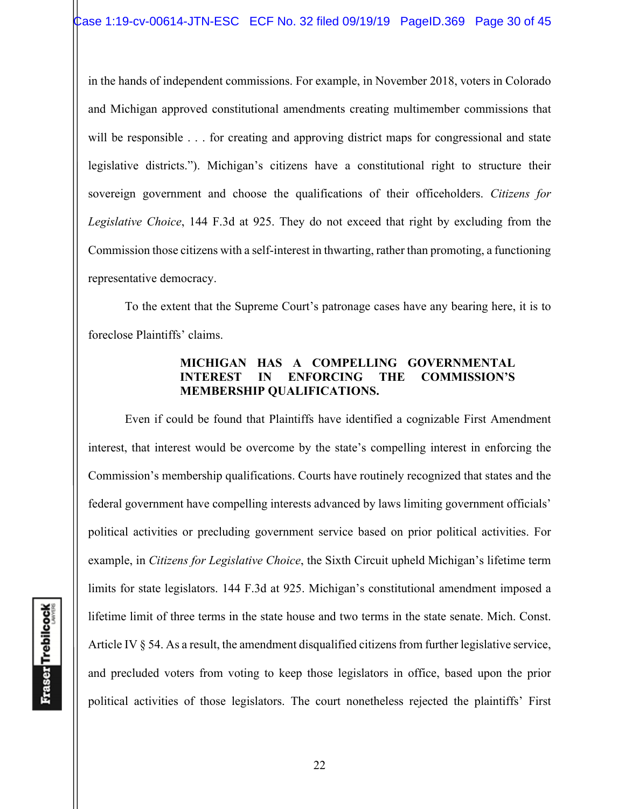in the hands of independent commissions. For example, in November 2018, voters in Colorado and Michigan approved constitutional amendments creating multimember commissions that will be responsible . . . for creating and approving district maps for congressional and state legislative districts."). Michigan's citizens have a constitutional right to structure their sovereign government and choose the qualifications of their officeholders. *Citizens for Legislative Choice*, 144 F.3d at 925. They do not exceed that right by excluding from the Commission those citizens with a self-interest in thwarting, rather than promoting, a functioning representative democracy.

To the extent that the Supreme Court's patronage cases have any bearing here, it is to foreclose Plaintiffs' claims.

# **MICHIGAN HAS A COMPELLING GOVERNMENTAL INTEREST IN ENFORCING THE COMMISSION'S MEMBERSHIP QUALIFICATIONS.**

Even if could be found that Plaintiffs have identified a cognizable First Amendment interest, that interest would be overcome by the state's compelling interest in enforcing the Commission's membership qualifications. Courts have routinely recognized that states and the federal government have compelling interests advanced by laws limiting government officials' political activities or precluding government service based on prior political activities. For example, in *Citizens for Legislative Choice*, the Sixth Circuit upheld Michigan's lifetime term limits for state legislators. 144 F.3d at 925. Michigan's constitutional amendment imposed a lifetime limit of three terms in the state house and two terms in the state senate. Mich. Const. Article IV § 54. As a result, the amendment disqualified citizens from further legislative service, and precluded voters from voting to keep those legislators in office, based upon the prior political activities of those legislators. The court nonetheless rejected the plaintiffs' First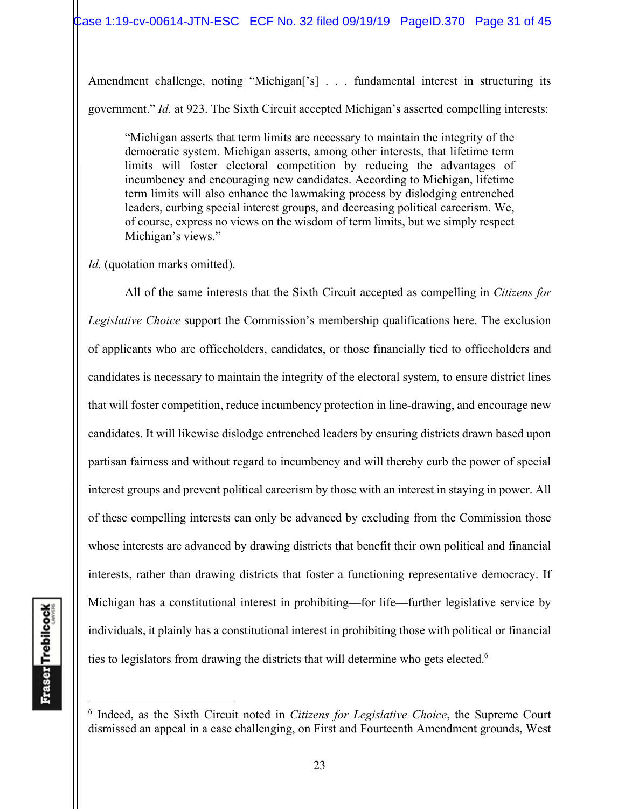Amendment challenge, noting "Michigan<sup>['s]</sup> . . . fundamental interest in structuring its government." *Id.* at 923. The Sixth Circuit accepted Michigan's asserted compelling interests:

"Michigan asserts that term limits are necessary to maintain the integrity of the democratic system. Michigan asserts, among other interests, that lifetime term limits will foster electoral competition by reducing the advantages of incumbency and encouraging new candidates. According to Michigan, lifetime term limits will also enhance the lawmaking process by dislodging entrenched leaders, curbing special interest groups, and decreasing political careerism. We, of course, express no views on the wisdom of term limits, but we simply respect Michigan's views."

*Id.* (quotation marks omitted).

All of the same interests that the Sixth Circuit accepted as compelling in *Citizens for Legislative Choice* support the Commission's membership qualifications here. The exclusion of applicants who are officeholders, candidates, or those financially tied to officeholders and candidates is necessary to maintain the integrity of the electoral system, to ensure district lines that will foster competition, reduce incumbency protection in line-drawing, and encourage new candidates. It will likewise dislodge entrenched leaders by ensuring districts drawn based upon partisan fairness and without regard to incumbency and will thereby curb the power of special interest groups and prevent political careerism by those with an interest in staying in power. All of these compelling interests can only be advanced by excluding from the Commission those whose interests are advanced by drawing districts that benefit their own political and financial interests, rather than drawing districts that foster a functioning representative democracy. If Michigan has a constitutional interest in prohibiting—for life—further legislative service by individuals, it plainly has a constitutional interest in prohibiting those with political or financial ties to legislators from drawing the districts that will determine who gets elected.<sup>6</sup>

<sup>6</sup> Indeed, as the Sixth Circuit noted in *Citizens for Legislative Choice*, the Supreme Court dismissed an appeal in a case challenging, on First and Fourteenth Amendment grounds, West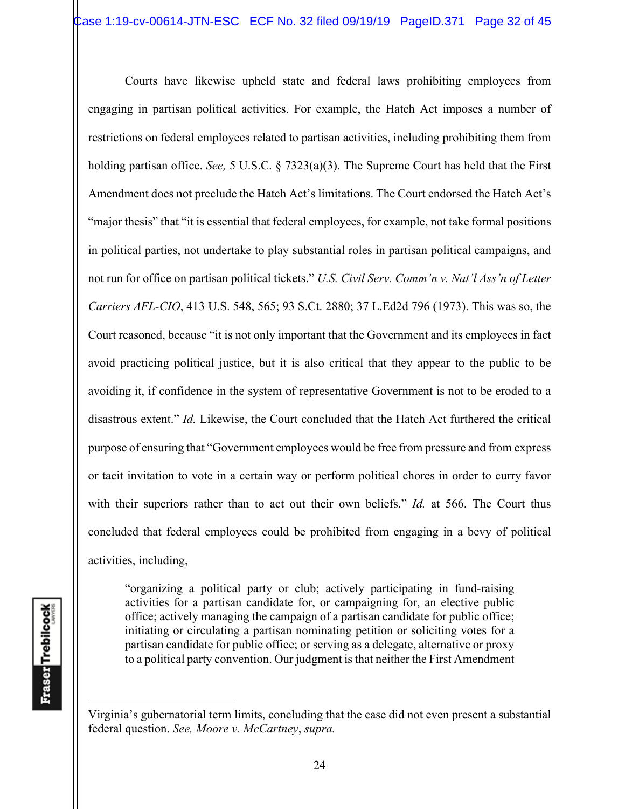Courts have likewise upheld state and federal laws prohibiting employees from engaging in partisan political activities. For example, the Hatch Act imposes a number of restrictions on federal employees related to partisan activities, including prohibiting them from holding partisan office. *See,* 5 U.S.C. § 7323(a)(3). The Supreme Court has held that the First Amendment does not preclude the Hatch Act's limitations. The Court endorsed the Hatch Act's "major thesis" that "it is essential that federal employees, for example, not take formal positions in political parties, not undertake to play substantial roles in partisan political campaigns, and not run for office on partisan political tickets." *U.S. Civil Serv. Comm'n v. Nat'l Ass'n of Letter Carriers AFL-CIO*, 413 U.S. 548, 565; 93 S.Ct. 2880; 37 L.Ed2d 796 (1973). This was so, the Court reasoned, because "it is not only important that the Government and its employees in fact avoid practicing political justice, but it is also critical that they appear to the public to be avoiding it, if confidence in the system of representative Government is not to be eroded to a disastrous extent." *Id.* Likewise, the Court concluded that the Hatch Act furthered the critical purpose of ensuring that "Government employees would be free from pressure and from express or tacit invitation to vote in a certain way or perform political chores in order to curry favor with their superiors rather than to act out their own beliefs." *Id.* at 566. The Court thus concluded that federal employees could be prohibited from engaging in a bevy of political activities, including,

"organizing a political party or club; actively participating in fund-raising activities for a partisan candidate for, or campaigning for, an elective public office; actively managing the campaign of a partisan candidate for public office; initiating or circulating a partisan nominating petition or soliciting votes for a partisan candidate for public office; or serving as a delegate, alternative or proxy to a political party convention. Our judgment is that neither the First Amendment

Virginia's gubernatorial term limits, concluding that the case did not even present a substantial federal question. *See, Moore v. McCartney*, *supra.*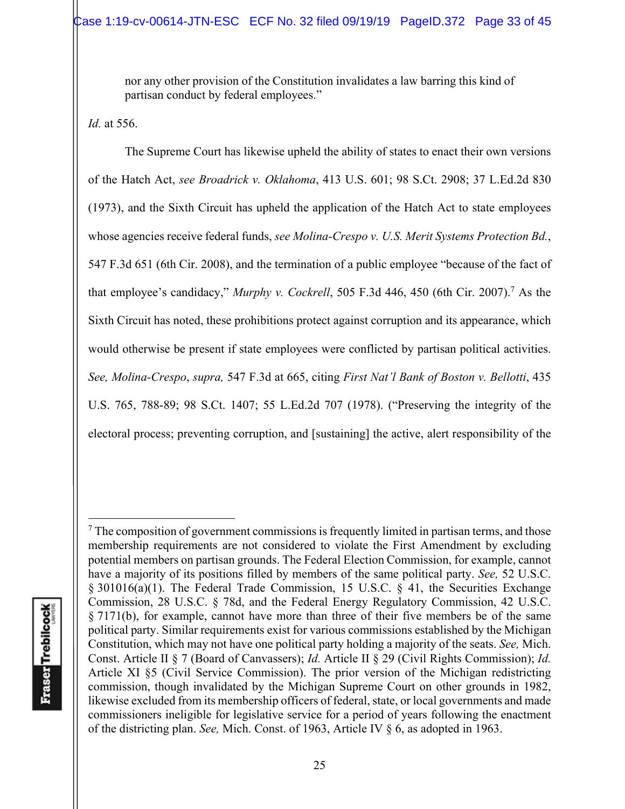nor any other provision of the Constitution invalidates a law barring this kind of partisan conduct by federal employees."

*Id.* at 556.

The Supreme Court has likewise upheld the ability of states to enact their own versions of the Hatch Act, *see Broadrick v. Oklahoma*, 413 U.S. 601; 98 S.Ct. 2908; 37 L.Ed.2d 830 (1973), and the Sixth Circuit has upheld the application of the Hatch Act to state employees whose agencies receive federal funds, *see Molina-Crespo v. U.S. Merit Systems Protection Bd.*, 547 F.3d 651 (6th Cir. 2008), and the termination of a public employee "because of the fact of that employee's candidacy," Murphy v. Cockrell, 505 F.3d 446, 450 (6th Cir. 2007).<sup>7</sup> As the Sixth Circuit has noted, these prohibitions protect against corruption and its appearance, which would otherwise be present if state employees were conflicted by partisan political activities. *See, Molina-Crespo*, *supra,* 547 F.3d at 665, citing *First Nat'l Bank of Boston v. Bellotti*, 435 U.S. 765, 788-89; 98 S.Ct. 1407; 55 L.Ed.2d 707 (1978). ("Preserving the integrity of the electoral process; preventing corruption, and [sustaining] the active, alert responsibility of the

 $7$  The composition of government commissions is frequently limited in partisan terms, and those membership requirements are not considered to violate the First Amendment by excluding potential members on partisan grounds. The Federal Election Commission, for example, cannot have a majority of its positions filled by members of the same political party. *See,* 52 U.S.C. § 301016(a)(1). The Federal Trade Commission, 15 U.S.C. § 41, the Securities Exchange Commission, 28 U.S.C. § 78d, and the Federal Energy Regulatory Commission, 42 U.S.C. § 7171(b), for example, cannot have more than three of their five members be of the same political party. Similar requirements exist for various commissions established by the Michigan Constitution, which may not have one political party holding a majority of the seats. *See,* Mich. Const. Article II § 7 (Board of Canvassers); *Id.* Article II § 29 (Civil Rights Commission); *Id.* Article XI §5 (Civil Service Commission). The prior version of the Michigan redistricting commission, though invalidated by the Michigan Supreme Court on other grounds in 1982, likewise excluded from its membership officers of federal, state, or local governments and made commissioners ineligible for legislative service for a period of years following the enactment of the districting plan. *See,* Mich. Const. of 1963, Article IV § 6, as adopted in 1963.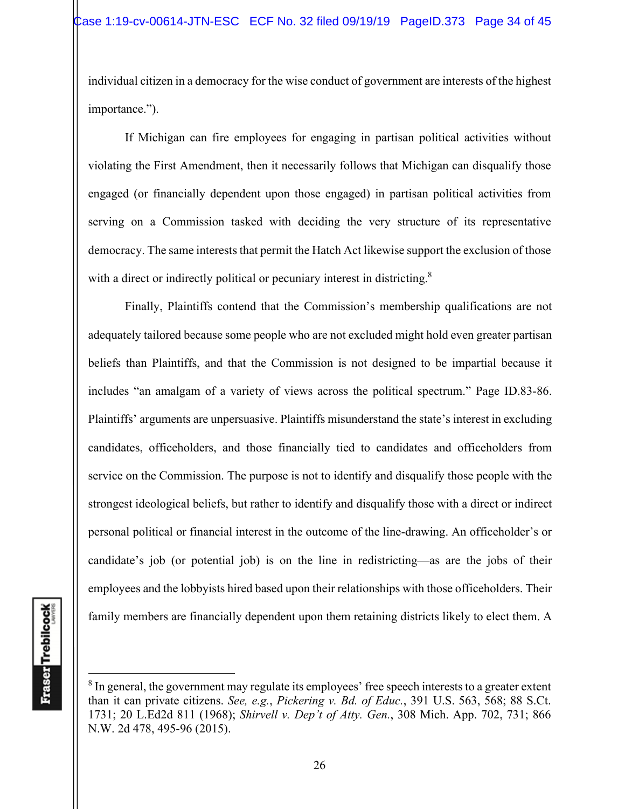individual citizen in a democracy for the wise conduct of government are interests of the highest importance.").

If Michigan can fire employees for engaging in partisan political activities without violating the First Amendment, then it necessarily follows that Michigan can disqualify those engaged (or financially dependent upon those engaged) in partisan political activities from serving on a Commission tasked with deciding the very structure of its representative democracy. The same interests that permit the Hatch Act likewise support the exclusion of those with a direct or indirectly political or pecuniary interest in districting.<sup>8</sup>

Finally, Plaintiffs contend that the Commission's membership qualifications are not adequately tailored because some people who are not excluded might hold even greater partisan beliefs than Plaintiffs, and that the Commission is not designed to be impartial because it includes "an amalgam of a variety of views across the political spectrum." Page ID.83-86. Plaintiffs' arguments are unpersuasive. Plaintiffs misunderstand the state's interest in excluding candidates, officeholders, and those financially tied to candidates and officeholders from service on the Commission. The purpose is not to identify and disqualify those people with the strongest ideological beliefs, but rather to identify and disqualify those with a direct or indirect personal political or financial interest in the outcome of the line-drawing. An officeholder's or candidate's job (or potential job) is on the line in redistricting—as are the jobs of their employees and the lobbyists hired based upon their relationships with those officeholders. Their family members are financially dependent upon them retaining districts likely to elect them. A

 $8$  In general, the government may regulate its employees' free speech interests to a greater extent than it can private citizens. *See, e.g.*, *Pickering v. Bd. of Educ.*, 391 U.S. 563, 568; 88 S.Ct. 1731; 20 L.Ed2d 811 (1968); *Shirvell v. Dep't of Atty. Gen.*, 308 Mich. App. 702, 731; 866 N.W. 2d 478, 495-96 (2015).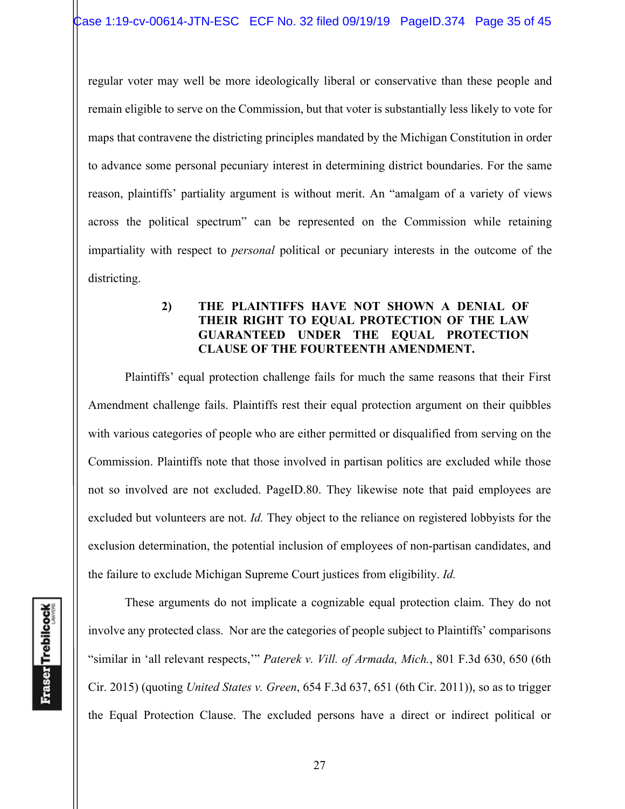regular voter may well be more ideologically liberal or conservative than these people and remain eligible to serve on the Commission, but that voter is substantially less likely to vote for maps that contravene the districting principles mandated by the Michigan Constitution in order to advance some personal pecuniary interest in determining district boundaries. For the same reason, plaintiffs' partiality argument is without merit. An "amalgam of a variety of views across the political spectrum" can be represented on the Commission while retaining impartiality with respect to *personal* political or pecuniary interests in the outcome of the districting.

# **2) THE PLAINTIFFS HAVE NOT SHOWN A DENIAL OF THEIR RIGHT TO EQUAL PROTECTION OF THE LAW GUARANTEED UNDER THE EQUAL PROTECTION CLAUSE OF THE FOURTEENTH AMENDMENT.**

Plaintiffs' equal protection challenge fails for much the same reasons that their First Amendment challenge fails. Plaintiffs rest their equal protection argument on their quibbles with various categories of people who are either permitted or disqualified from serving on the Commission. Plaintiffs note that those involved in partisan politics are excluded while those not so involved are not excluded. PageID.80. They likewise note that paid employees are excluded but volunteers are not. *Id.* They object to the reliance on registered lobbyists for the exclusion determination, the potential inclusion of employees of non-partisan candidates, and the failure to exclude Michigan Supreme Court justices from eligibility. *Id.*

These arguments do not implicate a cognizable equal protection claim. They do not involve any protected class. Nor are the categories of people subject to Plaintiffs' comparisons "similar in 'all relevant respects,'" *Paterek v. Vill. of Armada, Mich.*, 801 F.3d 630, 650 (6th Cir. 2015) (quoting *United States v. Green*, 654 F.3d 637, 651 (6th Cir. 2011)), so as to trigger the Equal Protection Clause. The excluded persons have a direct or indirect political or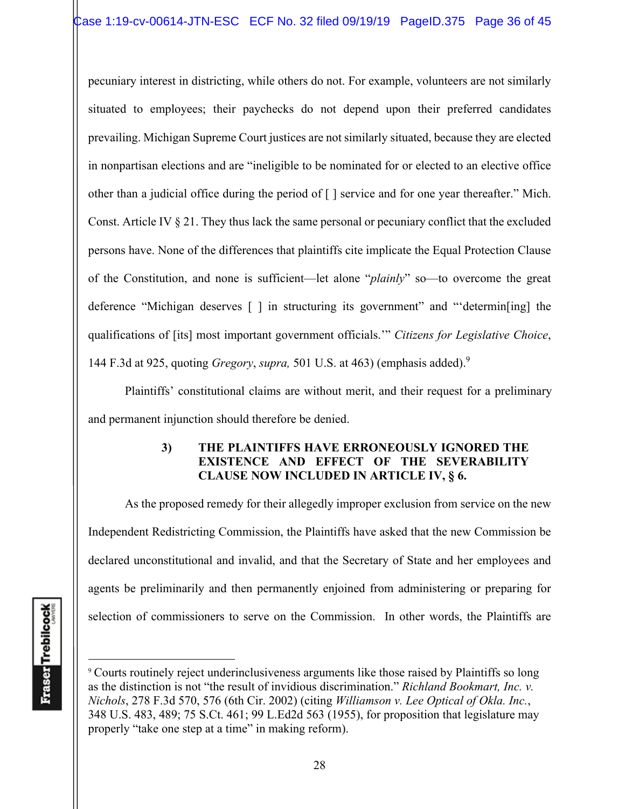pecuniary interest in districting, while others do not. For example, volunteers are not similarly situated to employees; their paychecks do not depend upon their preferred candidates prevailing. Michigan Supreme Court justices are not similarly situated, because they are elected in nonpartisan elections and are "ineligible to be nominated for or elected to an elective office other than a judicial office during the period of [ ] service and for one year thereafter." Mich. Const. Article IV § 21. They thus lack the same personal or pecuniary conflict that the excluded persons have. None of the differences that plaintiffs cite implicate the Equal Protection Clause of the Constitution, and none is sufficient—let alone "*plainly*" so—to overcome the great deference "Michigan deserves [ ] in structuring its government" and "'determin[ing] the qualifications of [its] most important government officials.'" *Citizens for Legislative Choice*, 144 F.3d at 925, quoting *Gregory*, *supra,* 501 U.S. at 463) (emphasis added).9

Plaintiffs' constitutional claims are without merit, and their request for a preliminary and permanent injunction should therefore be denied.

# **3) THE PLAINTIFFS HAVE ERRONEOUSLY IGNORED THE EXISTENCE AND EFFECT OF THE SEVERABILITY CLAUSE NOW INCLUDED IN ARTICLE IV, § 6.**

As the proposed remedy for their allegedly improper exclusion from service on the new Independent Redistricting Commission, the Plaintiffs have asked that the new Commission be declared unconstitutional and invalid, and that the Secretary of State and her employees and agents be preliminarily and then permanently enjoined from administering or preparing for selection of commissioners to serve on the Commission. In other words, the Plaintiffs are

<sup>9</sup> Courts routinely reject underinclusiveness arguments like those raised by Plaintiffs so long as the distinction is not "the result of invidious discrimination." *Richland Bookmart, Inc. v. Nichols*, 278 F.3d 570, 576 (6th Cir. 2002) (citing *Williamson v. Lee Optical of Okla. Inc.*, 348 U.S. 483, 489; 75 S.Ct. 461; 99 L.Ed2d 563 (1955), for proposition that legislature may properly "take one step at a time" in making reform).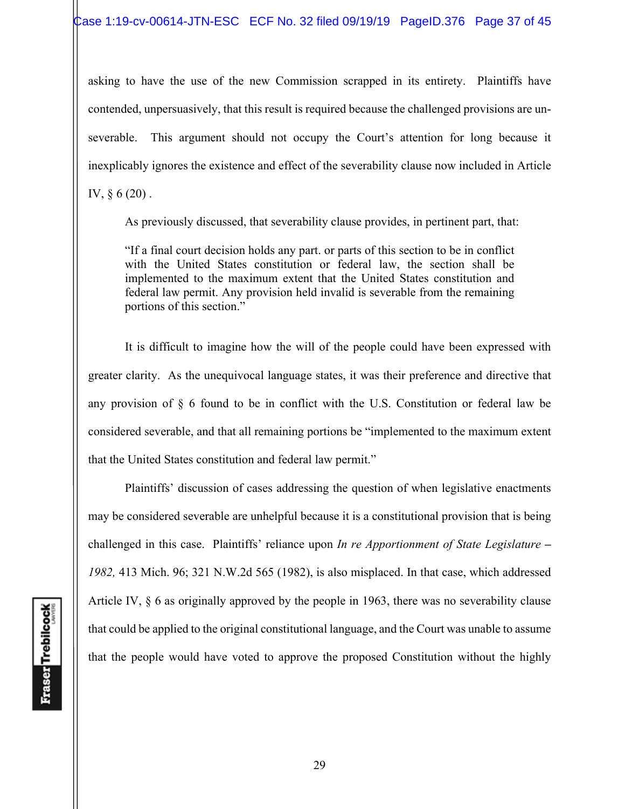asking to have the use of the new Commission scrapped in its entirety. Plaintiffs have contended, unpersuasively, that this result is required because the challenged provisions are unseverable. This argument should not occupy the Court's attention for long because it inexplicably ignores the existence and effect of the severability clause now included in Article IV, § 6 (20) .

As previously discussed, that severability clause provides, in pertinent part, that:

"If a final court decision holds any part. or parts of this section to be in conflict with the United States constitution or federal law, the section shall be implemented to the maximum extent that the United States constitution and federal law permit. Any provision held invalid is severable from the remaining portions of this section."

 It is difficult to imagine how the will of the people could have been expressed with greater clarity. As the unequivocal language states, it was their preference and directive that any provision of § 6 found to be in conflict with the U.S. Constitution or federal law be considered severable, and that all remaining portions be "implemented to the maximum extent that the United States constitution and federal law permit."

 Plaintiffs' discussion of cases addressing the question of when legislative enactments may be considered severable are unhelpful because it is a constitutional provision that is being challenged in this case. Plaintiffs' reliance upon *In re Apportionment of State Legislature – 1982,* 413 Mich. 96; 321 N.W.2d 565 (1982), is also misplaced. In that case, which addressed Article IV, § 6 as originally approved by the people in 1963, there was no severability clause that could be applied to the original constitutional language, and the Court was unable to assume that the people would have voted to approve the proposed Constitution without the highly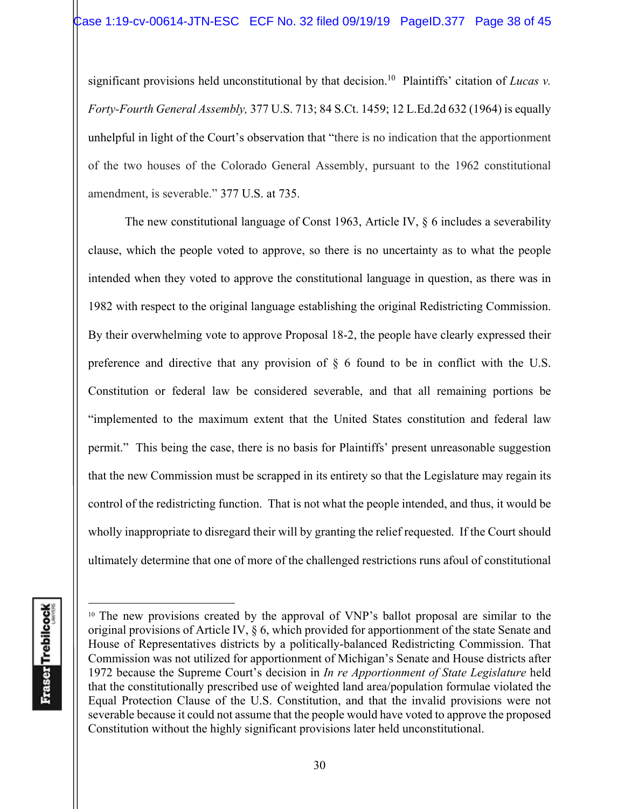significant provisions held unconstitutional by that decision.<sup>10</sup> Plaintiffs' citation of *Lucas v*. *Forty-Fourth General Assembly,* 377 U.S. 713; 84 S.Ct. 1459; 12 L.Ed.2d 632 (1964) is equally unhelpful in light of the Court's observation that "there is no indication that the apportionment of the two houses of the Colorado General Assembly, pursuant to the 1962 constitutional amendment, is severable." 377 U.S. at 735.

The new constitutional language of Const 1963, Article IV, § 6 includes a severability clause, which the people voted to approve, so there is no uncertainty as to what the people intended when they voted to approve the constitutional language in question, as there was in 1982 with respect to the original language establishing the original Redistricting Commission. By their overwhelming vote to approve Proposal 18-2, the people have clearly expressed their preference and directive that any provision of § 6 found to be in conflict with the U.S. Constitution or federal law be considered severable, and that all remaining portions be "implemented to the maximum extent that the United States constitution and federal law permit." This being the case, there is no basis for Plaintiffs' present unreasonable suggestion that the new Commission must be scrapped in its entirety so that the Legislature may regain its control of the redistricting function. That is not what the people intended, and thus, it would be wholly inappropriate to disregard their will by granting the relief requested. If the Court should ultimately determine that one of more of the challenged restrictions runs afoul of constitutional

**Fraser** Trebilcock

<sup>&</sup>lt;sup>10</sup> The new provisions created by the approval of VNP's ballot proposal are similar to the original provisions of Article IV, § 6, which provided for apportionment of the state Senate and House of Representatives districts by a politically-balanced Redistricting Commission. That Commission was not utilized for apportionment of Michigan's Senate and House districts after 1972 because the Supreme Court's decision in *In re Apportionment of State Legislature* held that the constitutionally prescribed use of weighted land area/population formulae violated the Equal Protection Clause of the U.S. Constitution, and that the invalid provisions were not severable because it could not assume that the people would have voted to approve the proposed Constitution without the highly significant provisions later held unconstitutional.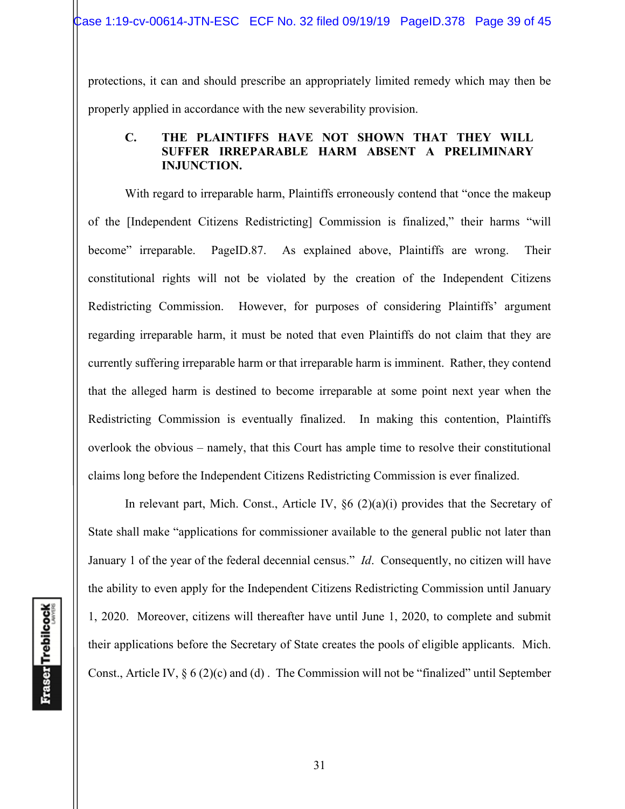protections, it can and should prescribe an appropriately limited remedy which may then be properly applied in accordance with the new severability provision.

### **C. THE PLAINTIFFS HAVE NOT SHOWN THAT THEY WILL SUFFER IRREPARABLE HARM ABSENT A PRELIMINARY INJUNCTION.**

With regard to irreparable harm, Plaintiffs erroneously contend that "once the makeup of the [Independent Citizens Redistricting] Commission is finalized," their harms "will become" irreparable. PageID.87. As explained above, Plaintiffs are wrong. Their constitutional rights will not be violated by the creation of the Independent Citizens Redistricting Commission. However, for purposes of considering Plaintiffs' argument regarding irreparable harm, it must be noted that even Plaintiffs do not claim that they are currently suffering irreparable harm or that irreparable harm is imminent. Rather, they contend that the alleged harm is destined to become irreparable at some point next year when the Redistricting Commission is eventually finalized. In making this contention, Plaintiffs overlook the obvious – namely, that this Court has ample time to resolve their constitutional claims long before the Independent Citizens Redistricting Commission is ever finalized.

In relevant part, Mich. Const., Article IV,  $\S6(2)(a)(i)$  provides that the Secretary of State shall make "applications for commissioner available to the general public not later than January 1 of the year of the federal decennial census." *Id*. Consequently, no citizen will have the ability to even apply for the Independent Citizens Redistricting Commission until January 1, 2020. Moreover, citizens will thereafter have until June 1, 2020, to complete and submit their applications before the Secretary of State creates the pools of eligible applicants. Mich. Const., Article IV,  $\S 6(2)(c)$  and (d). The Commission will not be "finalized" until September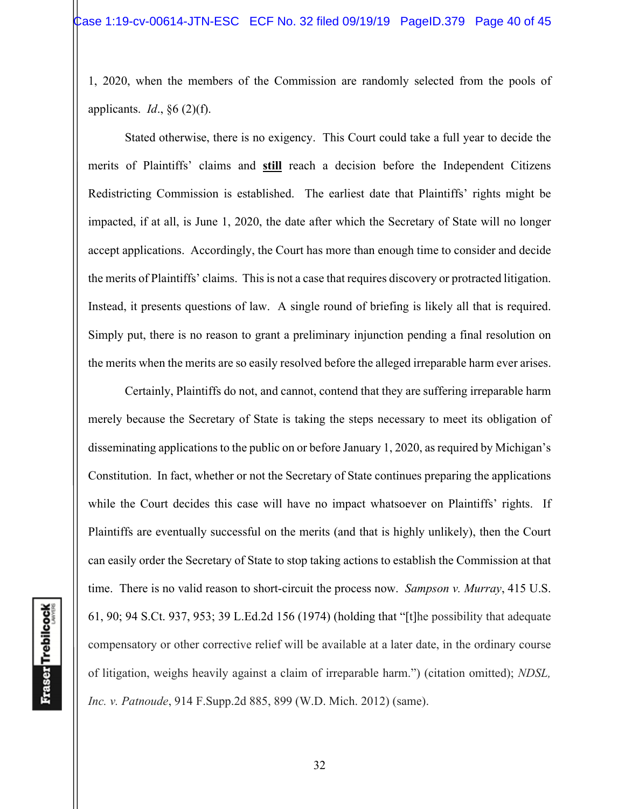1, 2020, when the members of the Commission are randomly selected from the pools of applicants. *Id*., §6 (2)(f).

 Stated otherwise, there is no exigency. This Court could take a full year to decide the merits of Plaintiffs' claims and **still** reach a decision before the Independent Citizens Redistricting Commission is established. The earliest date that Plaintiffs' rights might be impacted, if at all, is June 1, 2020, the date after which the Secretary of State will no longer accept applications. Accordingly, the Court has more than enough time to consider and decide the merits of Plaintiffs' claims. This is not a case that requires discovery or protracted litigation. Instead, it presents questions of law. A single round of briefing is likely all that is required. Simply put, there is no reason to grant a preliminary injunction pending a final resolution on the merits when the merits are so easily resolved before the alleged irreparable harm ever arises.

Certainly, Plaintiffs do not, and cannot, contend that they are suffering irreparable harm merely because the Secretary of State is taking the steps necessary to meet its obligation of disseminating applications to the public on or before January 1, 2020, as required by Michigan's Constitution. In fact, whether or not the Secretary of State continues preparing the applications while the Court decides this case will have no impact whatsoever on Plaintiffs' rights. If Plaintiffs are eventually successful on the merits (and that is highly unlikely), then the Court can easily order the Secretary of State to stop taking actions to establish the Commission at that time. There is no valid reason to short-circuit the process now. *Sampson v. Murray*, 415 U.S. 61, 90; 94 S.Ct. 937, 953; 39 L.Ed.2d 156 (1974) (holding that "[t]he possibility that adequate compensatory or other corrective relief will be available at a later date, in the ordinary course of litigation, weighs heavily against a claim of irreparable harm.") (citation omitted); *NDSL, Inc. v. Patnoude*, 914 F.Supp.2d 885, 899 (W.D. Mich. 2012) (same).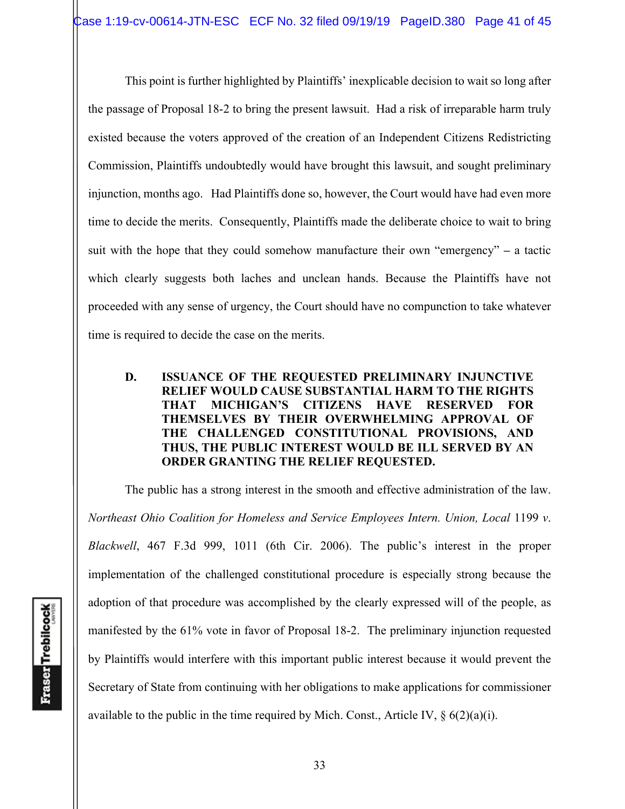This point is further highlighted by Plaintiffs' inexplicable decision to wait so long after the passage of Proposal 18-2 to bring the present lawsuit. Had a risk of irreparable harm truly existed because the voters approved of the creation of an Independent Citizens Redistricting Commission, Plaintiffs undoubtedly would have brought this lawsuit, and sought preliminary injunction, months ago. Had Plaintiffs done so, however, the Court would have had even more time to decide the merits. Consequently, Plaintiffs made the deliberate choice to wait to bring suit with the hope that they could somehow manufacture their own "emergency" **–** a tactic which clearly suggests both laches and unclean hands. Because the Plaintiffs have not proceeded with any sense of urgency, the Court should have no compunction to take whatever time is required to decide the case on the merits.

## **D. ISSUANCE OF THE REQUESTED PRELIMINARY INJUNCTIVE RELIEF WOULD CAUSE SUBSTANTIAL HARM TO THE RIGHTS THAT MICHIGAN'S CITIZENS HAVE RESERVED FOR THEMSELVES BY THEIR OVERWHELMING APPROVAL OF THE CHALLENGED CONSTITUTIONAL PROVISIONS, AND THUS, THE PUBLIC INTEREST WOULD BE ILL SERVED BY AN ORDER GRANTING THE RELIEF REQUESTED.**

The public has a strong interest in the smooth and effective administration of the law. *Northeast Ohio Coalition for Homeless and Service Employees Intern. Union, Local* 1199 *v*. *Blackwell*, 467 F.3d 999, 1011 (6th Cir. 2006). The public's interest in the proper implementation of the challenged constitutional procedure is especially strong because the adoption of that procedure was accomplished by the clearly expressed will of the people, as manifested by the 61% vote in favor of Proposal 18-2. The preliminary injunction requested by Plaintiffs would interfere with this important public interest because it would prevent the Secretary of State from continuing with her obligations to make applications for commissioner available to the public in the time required by Mich. Const., Article IV,  $\S$  6(2)(a)(i).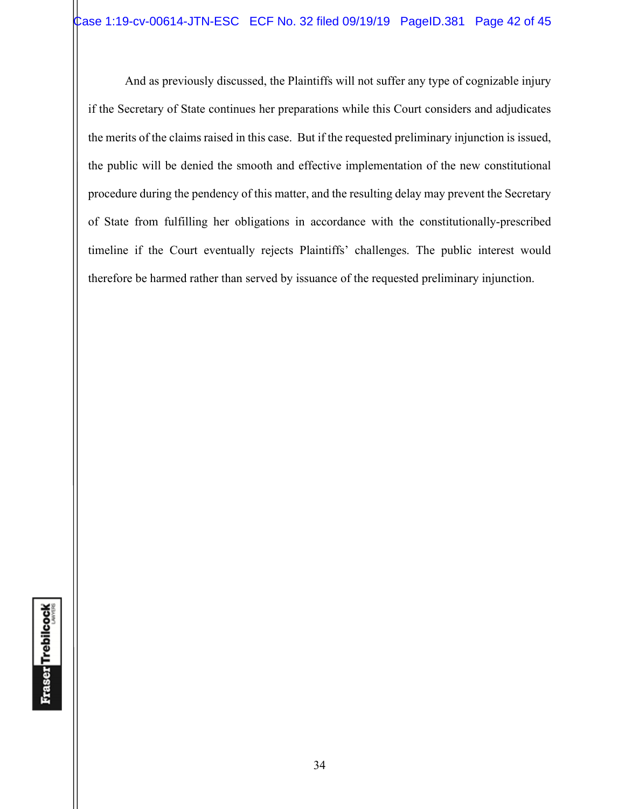And as previously discussed, the Plaintiffs will not suffer any type of cognizable injury if the Secretary of State continues her preparations while this Court considers and adjudicates the merits of the claims raised in this case. But if the requested preliminary injunction is issued, the public will be denied the smooth and effective implementation of the new constitutional procedure during the pendency of this matter, and the resulting delay may prevent the Secretary of State from fulfilling her obligations in accordance with the constitutionally-prescribed timeline if the Court eventually rejects Plaintiffs' challenges. The public interest would therefore be harmed rather than served by issuance of the requested preliminary injunction.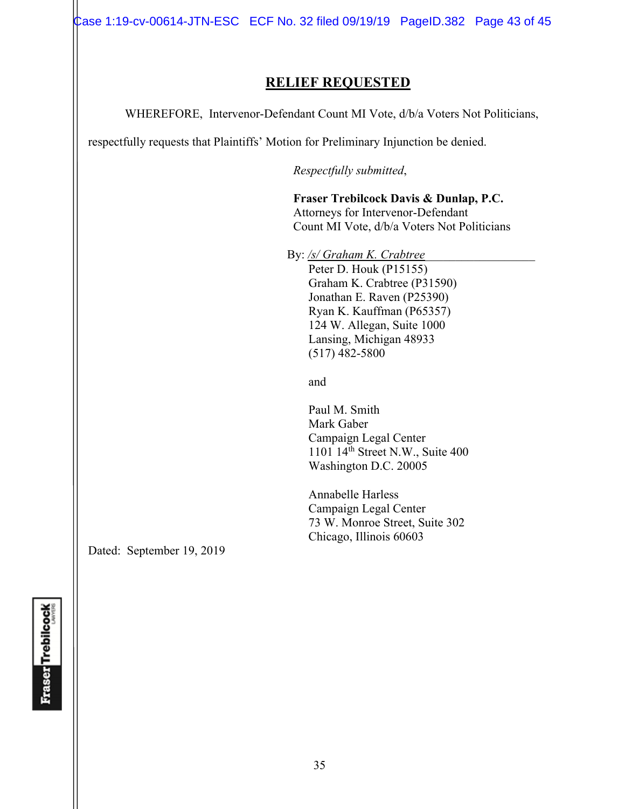Case 1:19-cv-00614-JTN-ESC ECF No. 32 filed 09/19/19 PageID.382 Page 43 of 45

# **RELIEF REQUESTED**

WHEREFORE, Intervenor-Defendant Count MI Vote, d/b/a Voters Not Politicians,

respectfully requests that Plaintiffs' Motion for Preliminary Injunction be denied.

*Respectfully submitted*,

 **Fraser Trebilcock Davis & Dunlap, P.C.**  Attorneys for Intervenor-Defendant Count MI Vote, d/b/a Voters Not Politicians

By: /s/ Graham K. Crabtree Peter D. Houk (P15155) Graham K. Crabtree (P31590) Jonathan E. Raven (P25390) Ryan K. Kauffman (P65357) 124 W. Allegan, Suite 1000 Lansing, Michigan 48933 (517) 482-5800

and and state of the state of the state of the state of the state of the state of the state of the state of the state of the state of the state of the state of the state of the state of the state of the state of the state

 Paul M. Smith Mark Gaber Campaign Legal Center  $1101$   $14^{\text{th}}$  Street N.W., Suite 400 Washington D.C. 20005

 Annabelle Harless Campaign Legal Center 73 W. Monroe Street, Suite 302 Chicago, Illinois 60603

Dated: September 19, 2019

**Fraser Trebilcock**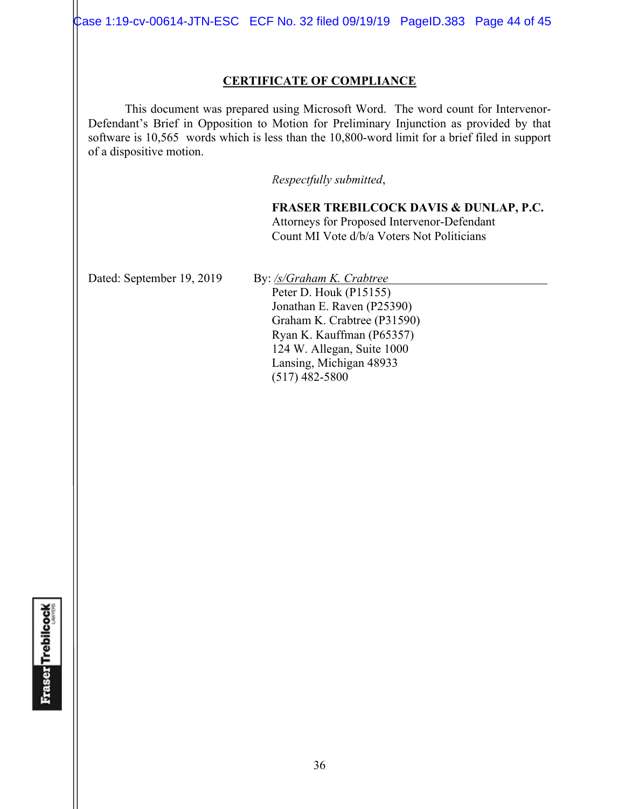Case 1:19-cv-00614-JTN-ESC ECF No. 32 filed 09/19/19 PageID.383 Page 44 of 45

### **CERTIFICATE OF COMPLIANCE**

 This document was prepared using Microsoft Word. The word count for Intervenor-Defendant's Brief in Opposition to Motion for Preliminary Injunction as provided by that software is 10,565 words which is less than the 10,800-word limit for a brief filed in support of a dispositive motion.

*Respectfully submitted*,

**FRASER TREBILCOCK DAVIS & DUNLAP, P.C.** Attorneys for Proposed Intervenor-Defendant Count MI Vote d/b/a Voters Not Politicians

Dated: September 19, 2019 By: /s/Graham K. Crabtree Peter D. Houk (P15155)

Jonathan E. Raven (P25390) Graham K. Crabtree (P31590) Ryan K. Kauffman (P65357) 124 W. Allegan, Suite 1000 Lansing, Michigan 48933 (517) 482-5800

**Fraser Trebilcock**